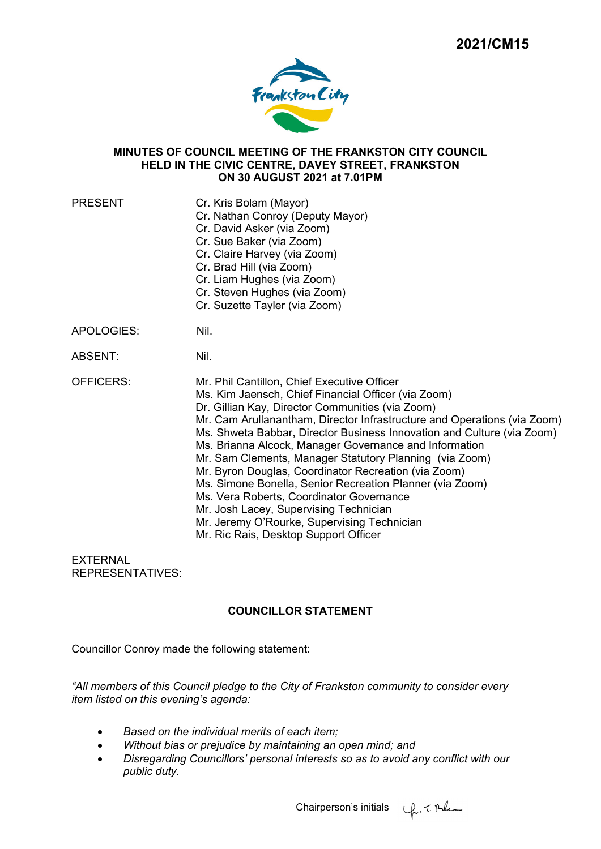

### **MINUTES OF COUNCIL MEETING OF THE FRANKSTON CITY COUNCIL HELD IN THE CIVIC CENTRE, DAVEY STREET, FRANKSTON ON 30 AUGUST 2021 at 7.01PM**

| <b>PRESENT</b>   | Cr. Kris Bolam (Mayor)<br>Cr. Nathan Conroy (Deputy Mayor)<br>Cr. David Asker (via Zoom)<br>Cr. Sue Baker (via Zoom)<br>Cr. Claire Harvey (via Zoom)<br>Cr. Brad Hill (via Zoom)<br>Cr. Liam Hughes (via Zoom)<br>Cr. Steven Hughes (via Zoom)<br>Cr. Suzette Tayler (via Zoom)                                                                                                                                                                                                                                                                                                                                                                                                                                                     |
|------------------|-------------------------------------------------------------------------------------------------------------------------------------------------------------------------------------------------------------------------------------------------------------------------------------------------------------------------------------------------------------------------------------------------------------------------------------------------------------------------------------------------------------------------------------------------------------------------------------------------------------------------------------------------------------------------------------------------------------------------------------|
| APOLOGIES:       | Nil.                                                                                                                                                                                                                                                                                                                                                                                                                                                                                                                                                                                                                                                                                                                                |
| ABSENT:          | Nil.                                                                                                                                                                                                                                                                                                                                                                                                                                                                                                                                                                                                                                                                                                                                |
| <b>OFFICERS:</b> | Mr. Phil Cantillon, Chief Executive Officer<br>Ms. Kim Jaensch, Chief Financial Officer (via Zoom)<br>Dr. Gillian Kay, Director Communities (via Zoom)<br>Mr. Cam Arullanantham, Director Infrastructure and Operations (via Zoom)<br>Ms. Shweta Babbar, Director Business Innovation and Culture (via Zoom)<br>Ms. Brianna Alcock, Manager Governance and Information<br>Mr. Sam Clements, Manager Statutory Planning (via Zoom)<br>Mr. Byron Douglas, Coordinator Recreation (via Zoom)<br>Ms. Simone Bonella, Senior Recreation Planner (via Zoom)<br>Ms. Vera Roberts, Coordinator Governance<br>Mr. Josh Lacey, Supervising Technician<br>Mr. Jeremy O'Rourke, Supervising Technician<br>Mr. Ric Rais, Desktop Support Officer |

EXTERNAL REPRESENTATIVES:

# **COUNCILLOR STATEMENT**

Councillor Conroy made the following statement:

*"All members of this Council pledge to the City of Frankston community to consider every item listed on this evening's agenda:* 

- *Based on the individual merits of each item;*
- *Without bias or prejudice by maintaining an open mind; and*
- *Disregarding Councillors' personal interests so as to avoid any conflict with our public duty.*

Chairperson's initials  $\psi$ , 7. Alem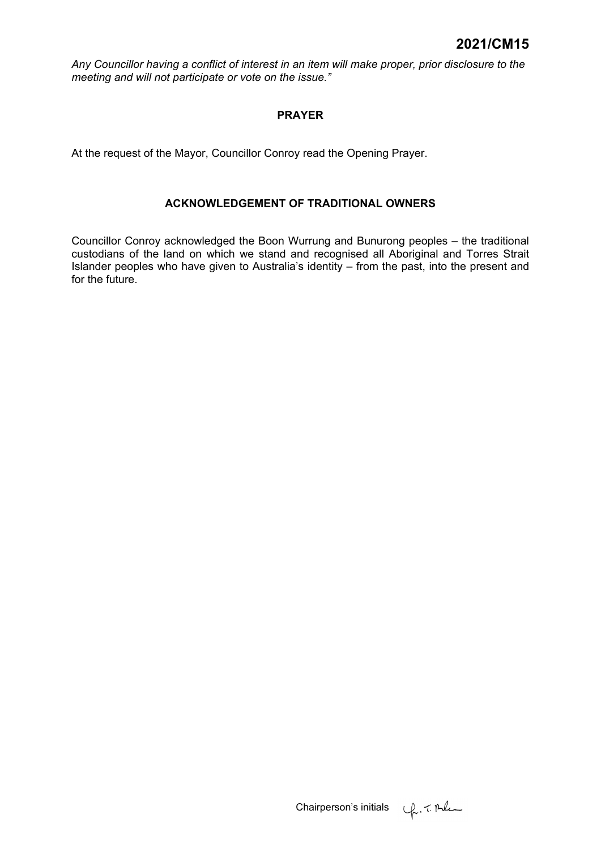*Any Councillor having a conflict of interest in an item will make proper, prior disclosure to the meeting and will not participate or vote on the issue."* 

# **PRAYER**

At the request of the Mayor, Councillor Conroy read the Opening Prayer.

# **ACKNOWLEDGEMENT OF TRADITIONAL OWNERS**

Councillor Conroy acknowledged the Boon Wurrung and Bunurong peoples – the traditional custodians of the land on which we stand and recognised all Aboriginal and Torres Strait Islander peoples who have given to Australia's identity – from the past, into the present and for the future.

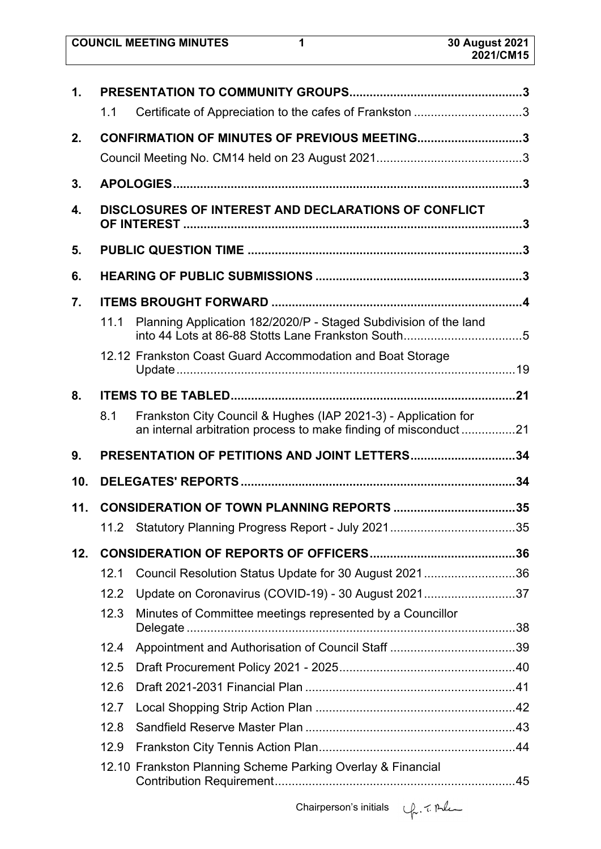| <b>COUNCIL MEETING MINUTES</b> | 30 August 2021 |
|--------------------------------|----------------|
|                                | 2021/CM15      |

| $\mathbf 1$ . |                                                      |                                                                                                                                   |  |  |  |  |
|---------------|------------------------------------------------------|-----------------------------------------------------------------------------------------------------------------------------------|--|--|--|--|
|               | 1.1                                                  | Certificate of Appreciation to the cafes of Frankston 3                                                                           |  |  |  |  |
| 2.            |                                                      | CONFIRMATION OF MINUTES OF PREVIOUS MEETING3                                                                                      |  |  |  |  |
|               |                                                      |                                                                                                                                   |  |  |  |  |
| 3.            |                                                      |                                                                                                                                   |  |  |  |  |
| 4.            | DISCLOSURES OF INTEREST AND DECLARATIONS OF CONFLICT |                                                                                                                                   |  |  |  |  |
| 5.            |                                                      |                                                                                                                                   |  |  |  |  |
| 6.            |                                                      |                                                                                                                                   |  |  |  |  |
| 7.            |                                                      |                                                                                                                                   |  |  |  |  |
|               | 11.1                                                 | Planning Application 182/2020/P - Staged Subdivision of the land<br>into 44 Lots at 86-88 Stotts Lane Frankston South5            |  |  |  |  |
|               |                                                      | 12.12 Frankston Coast Guard Accommodation and Boat Storage                                                                        |  |  |  |  |
| 8.            |                                                      |                                                                                                                                   |  |  |  |  |
|               | 8.1                                                  | Frankston City Council & Hughes (IAP 2021-3) - Application for<br>an internal arbitration process to make finding of misconduct21 |  |  |  |  |
|               |                                                      |                                                                                                                                   |  |  |  |  |
| 9.            |                                                      | PRESENTATION OF PETITIONS AND JOINT LETTERS34                                                                                     |  |  |  |  |
| 10.           |                                                      |                                                                                                                                   |  |  |  |  |
| 11.           |                                                      |                                                                                                                                   |  |  |  |  |
|               |                                                      |                                                                                                                                   |  |  |  |  |
| 12.           |                                                      |                                                                                                                                   |  |  |  |  |
|               | 12.1                                                 |                                                                                                                                   |  |  |  |  |
|               | 12.2                                                 | Council Resolution Status Update for 30 August 202136<br>Update on Coronavirus (COVID-19) - 30 August 202137                      |  |  |  |  |
|               | 12.3                                                 | Minutes of Committee meetings represented by a Councillor                                                                         |  |  |  |  |
|               | 12.4                                                 |                                                                                                                                   |  |  |  |  |
|               | 12.5                                                 |                                                                                                                                   |  |  |  |  |
|               | 12.6                                                 |                                                                                                                                   |  |  |  |  |
|               | 12.7                                                 |                                                                                                                                   |  |  |  |  |
|               | 12.8                                                 |                                                                                                                                   |  |  |  |  |
|               | 12.9                                                 |                                                                                                                                   |  |  |  |  |

Chairperson's initials  $\psi$ . 7. Ale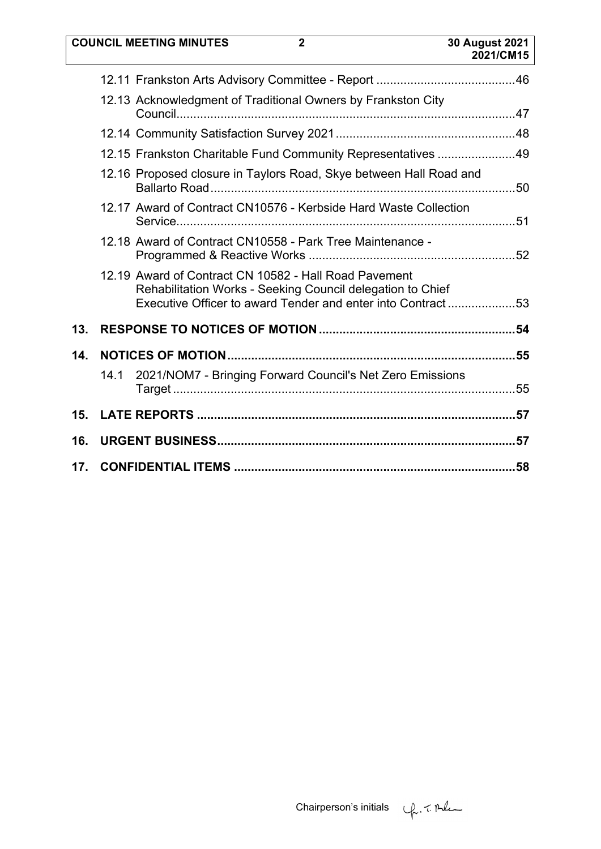|     | <b>COUNCIL MEETING MINUTES</b><br>$\overline{2}$                                                                                                                                    | <b>30 August 2021</b><br>2021/CM15 |
|-----|-------------------------------------------------------------------------------------------------------------------------------------------------------------------------------------|------------------------------------|
|     |                                                                                                                                                                                     |                                    |
|     | 12.13 Acknowledgment of Traditional Owners by Frankston City                                                                                                                        |                                    |
|     |                                                                                                                                                                                     |                                    |
|     | 12.15 Frankston Charitable Fund Community Representatives 49                                                                                                                        |                                    |
|     | 12.16 Proposed closure in Taylors Road, Skye between Hall Road and                                                                                                                  |                                    |
|     | 12.17 Award of Contract CN10576 - Kerbside Hard Waste Collection                                                                                                                    |                                    |
|     | 12.18 Award of Contract CN10558 - Park Tree Maintenance -                                                                                                                           |                                    |
|     | 12.19 Award of Contract CN 10582 - Hall Road Pavement<br>Rehabilitation Works - Seeking Council delegation to Chief<br>Executive Officer to award Tender and enter into Contract 53 |                                    |
| 13. |                                                                                                                                                                                     |                                    |
| 14. |                                                                                                                                                                                     |                                    |
|     | 2021/NOM7 - Bringing Forward Council's Net Zero Emissions<br>14.1                                                                                                                   |                                    |
| 15. |                                                                                                                                                                                     |                                    |
| 16. |                                                                                                                                                                                     |                                    |
| 17. |                                                                                                                                                                                     |                                    |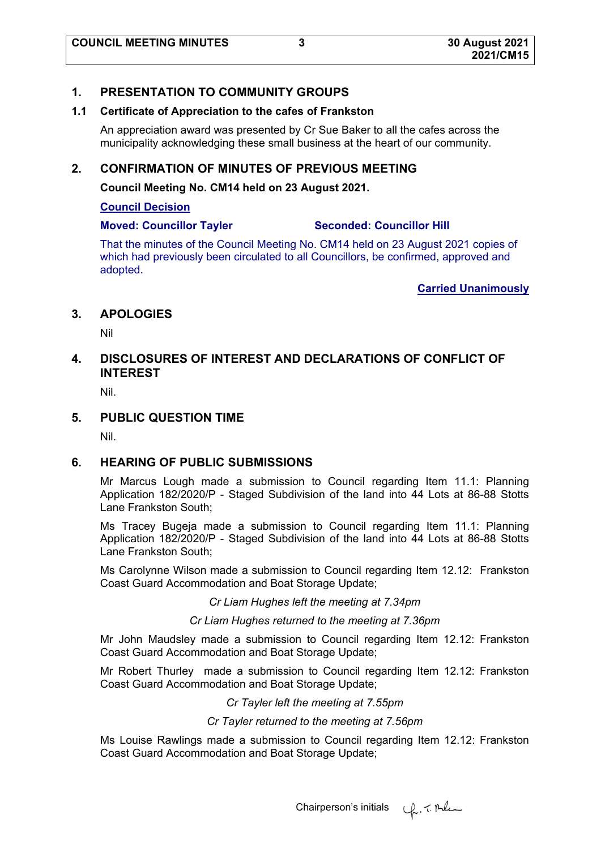# **1. PRESENTATION TO COMMUNITY GROUPS**

#### **1.1 Certificate of Appreciation to the cafes of Frankston**

An appreciation award was presented by Cr Sue Baker to all the cafes across the municipality acknowledging these small business at the heart of our community.

# **2. CONFIRMATION OF MINUTES OF PREVIOUS MEETING**

**Council Meeting No. CM14 held on 23 August 2021.** 

#### **Council Decision**

# **Moved: Councillor Tayler Seconded: Councillor Hill**

That the minutes of the Council Meeting No. CM14 held on 23 August 2021 copies of which had previously been circulated to all Councillors, be confirmed, approved and adopted.

**Carried Unanimously**

# **3. APOLOGIES**

Nil

# **4. DISCLOSURES OF INTEREST AND DECLARATIONS OF CONFLICT OF INTEREST**

Nil.

# **5. PUBLIC QUESTION TIME**

Nil.

# **6. HEARING OF PUBLIC SUBMISSIONS**

Mr Marcus Lough made a submission to Council regarding Item 11.1: Planning Application 182/2020/P - Staged Subdivision of the land into 44 Lots at 86-88 Stotts Lane Frankston South;

Ms Tracey Bugeja made a submission to Council regarding Item 11.1: Planning Application 182/2020/P - Staged Subdivision of the land into 44 Lots at 86-88 Stotts Lane Frankston South;

Ms Carolynne Wilson made a submission to Council regarding Item 12.12: Frankston Coast Guard Accommodation and Boat Storage Update;

#### *Cr Liam Hughes left the meeting at 7.34pm*

*Cr Liam Hughes returned to the meeting at 7.36pm* 

Mr John Maudsley made a submission to Council regarding Item 12.12: Frankston Coast Guard Accommodation and Boat Storage Update;

Mr Robert Thurley made a submission to Council regarding Item 12.12: Frankston Coast Guard Accommodation and Boat Storage Update;

# *Cr Tayler left the meeting at 7.55pm*

#### *Cr Tayler returned to the meeting at 7.56pm*

Ms Louise Rawlings made a submission to Council regarding Item 12.12: Frankston Coast Guard Accommodation and Boat Storage Update;

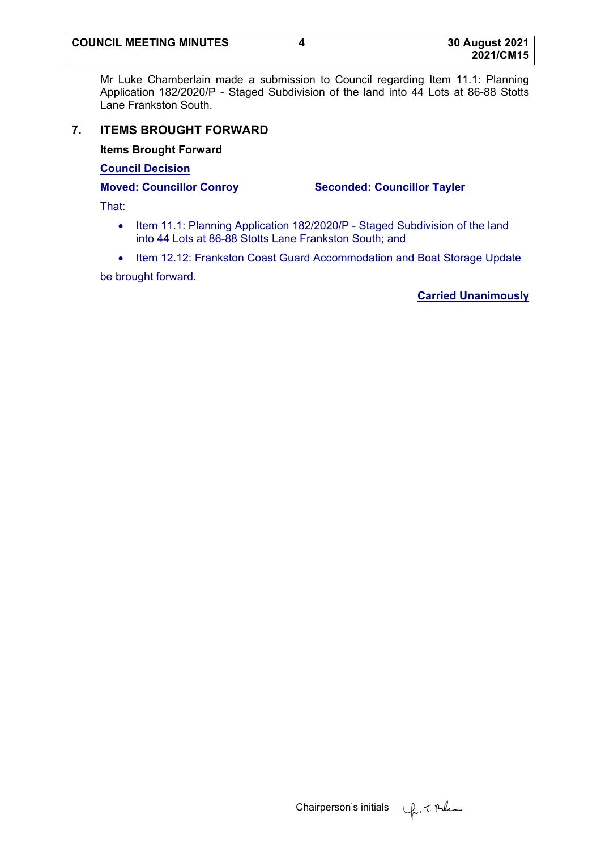Mr Luke Chamberlain made a submission to Council regarding Item 11.1: Planning Application 182/2020/P - Staged Subdivision of the land into 44 Lots at 86-88 Stotts Lane Frankston South.

# **7. ITEMS BROUGHT FORWARD**

**Items Brought Forward**

**Council Decision** 

**Moved: Councillor Conroy Seconded: Councillor Tayler**

That:

- Item 11.1: Planning Application 182/2020/P Staged Subdivision of the land into 44 Lots at 86-88 Stotts Lane Frankston South; and
- Item 12.12: Frankston Coast Guard Accommodation and Boat Storage Update

be brought forward.

**Carried Unanimously**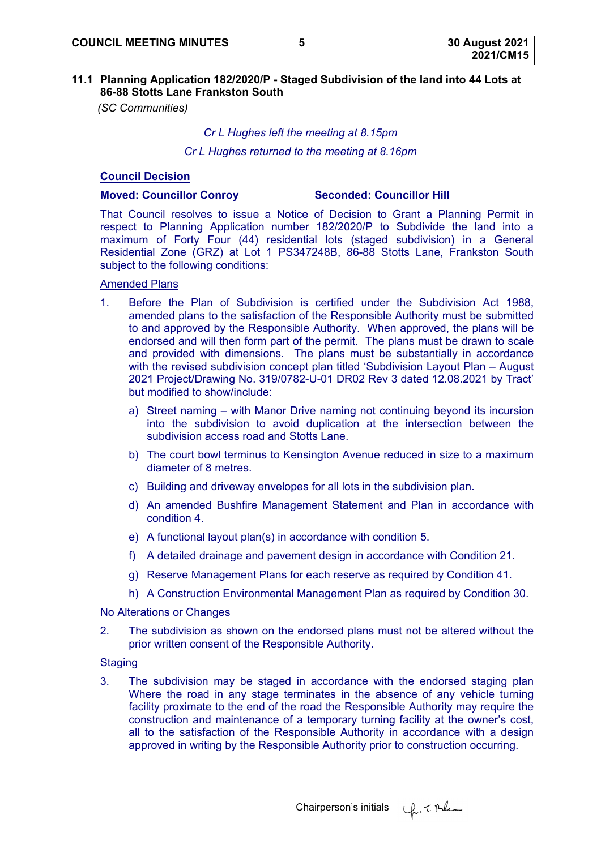### **11.1 Planning Application 182/2020/P - Staged Subdivision of the land into 44 Lots at 86-88 Stotts Lane Frankston South**

*(SC Communities)* 

#### *Cr L Hughes left the meeting at 8.15pm*

*Cr L Hughes returned to the meeting at 8.16pm* 

### **Council Decision**

#### **Moved: Councillor Conroy Seconded: Councillor Hill**

That Council resolves to issue a Notice of Decision to Grant a Planning Permit in respect to Planning Application number 182/2020/P to Subdivide the land into a maximum of Forty Four (44) residential lots (staged subdivision) in a General Residential Zone (GRZ) at Lot 1 PS347248B, 86-88 Stotts Lane, Frankston South subject to the following conditions:

#### Amended Plans

- 1. Before the Plan of Subdivision is certified under the Subdivision Act 1988, amended plans to the satisfaction of the Responsible Authority must be submitted to and approved by the Responsible Authority. When approved, the plans will be endorsed and will then form part of the permit. The plans must be drawn to scale and provided with dimensions. The plans must be substantially in accordance with the revised subdivision concept plan titled 'Subdivision Layout Plan - August 2021 Project/Drawing No. 319/0782-U-01 DR02 Rev 3 dated 12.08.2021 by Tract' but modified to show/include:
	- a) Street naming with Manor Drive naming not continuing beyond its incursion into the subdivision to avoid duplication at the intersection between the subdivision access road and Stotts Lane.
	- b) The court bowl terminus to Kensington Avenue reduced in size to a maximum diameter of 8 metres.
	- c) Building and driveway envelopes for all lots in the subdivision plan.
	- d) An amended Bushfire Management Statement and Plan in accordance with condition 4.
	- e) A functional layout plan(s) in accordance with condition 5.
	- f) A detailed drainage and pavement design in accordance with Condition 21.
	- g) Reserve Management Plans for each reserve as required by Condition 41.
	- h) A Construction Environmental Management Plan as required by Condition 30.

#### No Alterations or Changes

2. The subdivision as shown on the endorsed plans must not be altered without the prior written consent of the Responsible Authority.

#### **Staging**

3. The subdivision may be staged in accordance with the endorsed staging plan Where the road in any stage terminates in the absence of any vehicle turning facility proximate to the end of the road the Responsible Authority may require the construction and maintenance of a temporary turning facility at the owner's cost, all to the satisfaction of the Responsible Authority in accordance with a design approved in writing by the Responsible Authority prior to construction occurring.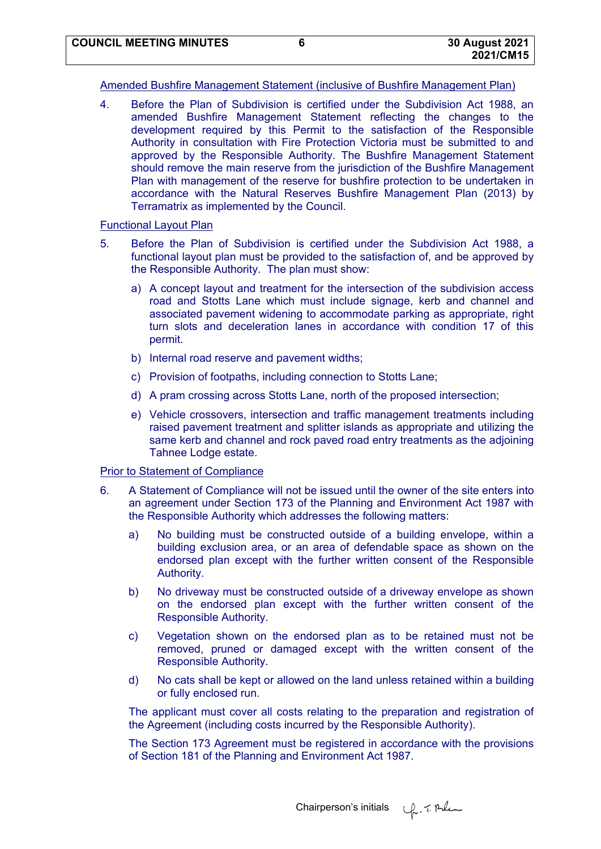#### Amended Bushfire Management Statement (inclusive of Bushfire Management Plan)

4. Before the Plan of Subdivision is certified under the Subdivision Act 1988, an amended Bushfire Management Statement reflecting the changes to the development required by this Permit to the satisfaction of the Responsible Authority in consultation with Fire Protection Victoria must be submitted to and approved by the Responsible Authority. The Bushfire Management Statement should remove the main reserve from the jurisdiction of the Bushfire Management Plan with management of the reserve for bushfire protection to be undertaken in accordance with the Natural Reserves Bushfire Management Plan (2013) by Terramatrix as implemented by the Council.

### Functional Layout Plan

- 5. Before the Plan of Subdivision is certified under the Subdivision Act 1988, a functional layout plan must be provided to the satisfaction of, and be approved by the Responsible Authority. The plan must show:
	- a) A concept layout and treatment for the intersection of the subdivision access road and Stotts Lane which must include signage, kerb and channel and associated pavement widening to accommodate parking as appropriate, right turn slots and deceleration lanes in accordance with condition 17 of this permit.
	- b) Internal road reserve and pavement widths;
	- c) Provision of footpaths, including connection to Stotts Lane;
	- d) A pram crossing across Stotts Lane, north of the proposed intersection;
	- e) Vehicle crossovers, intersection and traffic management treatments including raised pavement treatment and splitter islands as appropriate and utilizing the same kerb and channel and rock paved road entry treatments as the adjoining Tahnee Lodge estate.

### Prior to Statement of Compliance

- 6. A Statement of Compliance will not be issued until the owner of the site enters into an agreement under Section 173 of the Planning and Environment Act 1987 with the Responsible Authority which addresses the following matters:
	- a) No building must be constructed outside of a building envelope, within a building exclusion area, or an area of defendable space as shown on the endorsed plan except with the further written consent of the Responsible Authority.
	- b) No driveway must be constructed outside of a driveway envelope as shown on the endorsed plan except with the further written consent of the Responsible Authority.
	- c) Vegetation shown on the endorsed plan as to be retained must not be removed, pruned or damaged except with the written consent of the Responsible Authority.
	- d) No cats shall be kept or allowed on the land unless retained within a building or fully enclosed run.

The applicant must cover all costs relating to the preparation and registration of the Agreement (including costs incurred by the Responsible Authority).

The Section 173 Agreement must be registered in accordance with the provisions of Section 181 of the Planning and Environment Act 1987.

Chairperson's initials  $\psi$ . 7. Al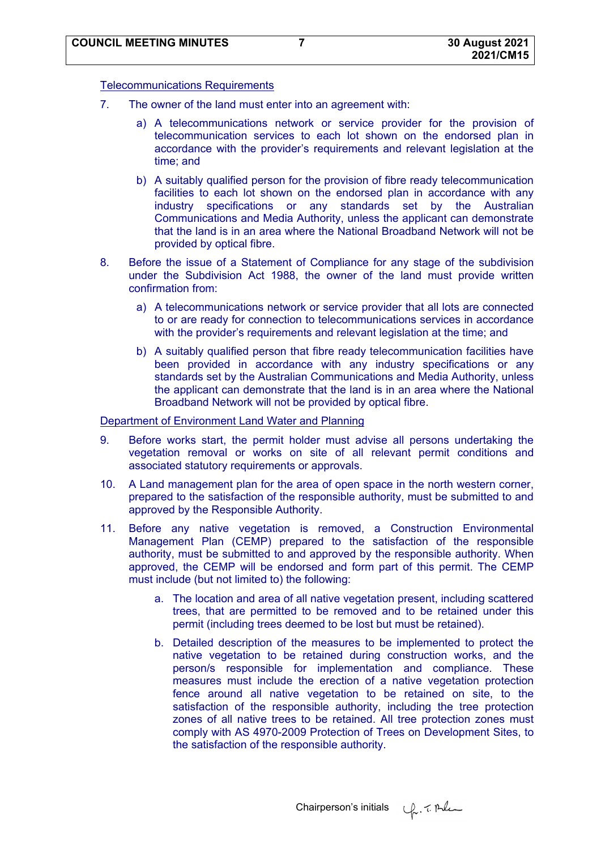### Telecommunications Requirements

- 7. The owner of the land must enter into an agreement with:
	- a) A telecommunications network or service provider for the provision of telecommunication services to each lot shown on the endorsed plan in accordance with the provider's requirements and relevant legislation at the time; and
	- b) A suitably qualified person for the provision of fibre ready telecommunication facilities to each lot shown on the endorsed plan in accordance with any industry specifications or any standards set by the Australian Communications and Media Authority, unless the applicant can demonstrate that the land is in an area where the National Broadband Network will not be provided by optical fibre.
- 8. Before the issue of a Statement of Compliance for any stage of the subdivision under the Subdivision Act 1988, the owner of the land must provide written confirmation from:
	- a) A telecommunications network or service provider that all lots are connected to or are ready for connection to telecommunications services in accordance with the provider's requirements and relevant legislation at the time; and
	- b) A suitably qualified person that fibre ready telecommunication facilities have been provided in accordance with any industry specifications or any standards set by the Australian Communications and Media Authority, unless the applicant can demonstrate that the land is in an area where the National Broadband Network will not be provided by optical fibre.

#### Department of Environment Land Water and Planning

- 9. Before works start, the permit holder must advise all persons undertaking the vegetation removal or works on site of all relevant permit conditions and associated statutory requirements or approvals.
- 10. A Land management plan for the area of open space in the north western corner, prepared to the satisfaction of the responsible authority, must be submitted to and approved by the Responsible Authority.
- 11. Before any native vegetation is removed, a Construction Environmental Management Plan (CEMP) prepared to the satisfaction of the responsible authority, must be submitted to and approved by the responsible authority. When approved, the CEMP will be endorsed and form part of this permit. The CEMP must include (but not limited to) the following:
	- a. The location and area of all native vegetation present, including scattered trees, that are permitted to be removed and to be retained under this permit (including trees deemed to be lost but must be retained).
	- b. Detailed description of the measures to be implemented to protect the native vegetation to be retained during construction works, and the person/s responsible for implementation and compliance. These measures must include the erection of a native vegetation protection fence around all native vegetation to be retained on site, to the satisfaction of the responsible authority, including the tree protection zones of all native trees to be retained. All tree protection zones must comply with AS 4970-2009 Protection of Trees on Development Sites, to the satisfaction of the responsible authority.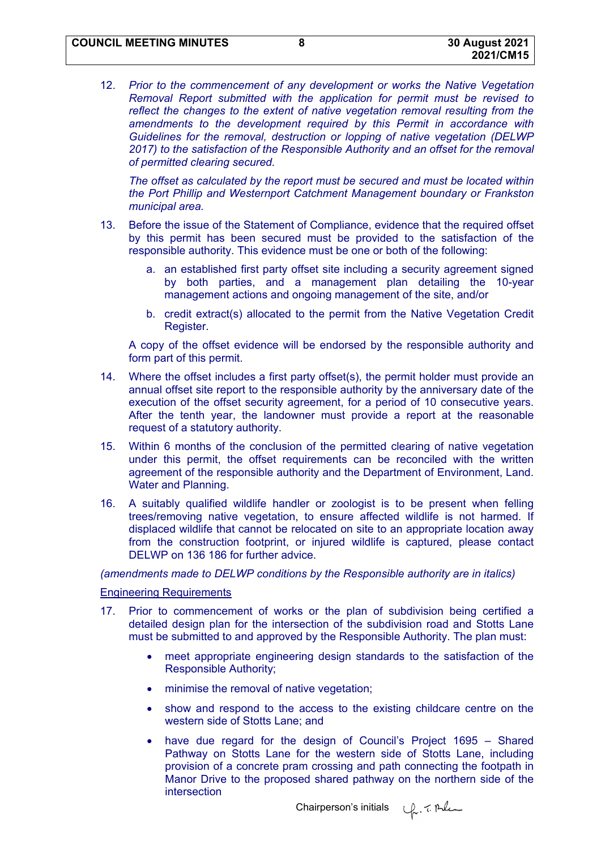12. *Prior to the commencement of any development or works the Native Vegetation Removal Report submitted with the application for permit must be revised to reflect the changes to the extent of native vegetation removal resulting from the amendments to the development required by this Permit in accordance with Guidelines for the removal, destruction or lopping of native vegetation (DELWP 2017) to the satisfaction of the Responsible Authority and an offset for the removal of permitted clearing secured.*

*The offset as calculated by the report must be secured and must be located within the Port Phillip and Westernport Catchment Management boundary or Frankston municipal area.* 

- 13. Before the issue of the Statement of Compliance, evidence that the required offset by this permit has been secured must be provided to the satisfaction of the responsible authority. This evidence must be one or both of the following:
	- a. an established first party offset site including a security agreement signed by both parties, and a management plan detailing the 10-year management actions and ongoing management of the site, and/or
	- b. credit extract(s) allocated to the permit from the Native Vegetation Credit Register.

A copy of the offset evidence will be endorsed by the responsible authority and form part of this permit.

- 14. Where the offset includes a first party offset(s), the permit holder must provide an annual offset site report to the responsible authority by the anniversary date of the execution of the offset security agreement, for a period of 10 consecutive years. After the tenth year, the landowner must provide a report at the reasonable request of a statutory authority.
- 15. Within 6 months of the conclusion of the permitted clearing of native vegetation under this permit, the offset requirements can be reconciled with the written agreement of the responsible authority and the Department of Environment, Land. Water and Planning.
- 16. A suitably qualified wildlife handler or zoologist is to be present when felling trees/removing native vegetation, to ensure affected wildlife is not harmed. If displaced wildlife that cannot be relocated on site to an appropriate location away from the construction footprint, or injured wildlife is captured, please contact DELWP on 136 186 for further advice.

*(amendments made to DELWP conditions by the Responsible authority are in italics)* 

Engineering Requirements

- 17. Prior to commencement of works or the plan of subdivision being certified a detailed design plan for the intersection of the subdivision road and Stotts Lane must be submitted to and approved by the Responsible Authority. The plan must:
	- meet appropriate engineering design standards to the satisfaction of the Responsible Authority;
	- minimise the removal of native vegetation;
	- show and respond to the access to the existing childcare centre on the western side of Stotts Lane; and
	- have due regard for the design of Council's Project 1695 Shared Pathway on Stotts Lane for the western side of Stotts Lane, including provision of a concrete pram crossing and path connecting the footpath in Manor Drive to the proposed shared pathway on the northern side of the intersection

Chairperson's initials  $\psi$ . 7. Al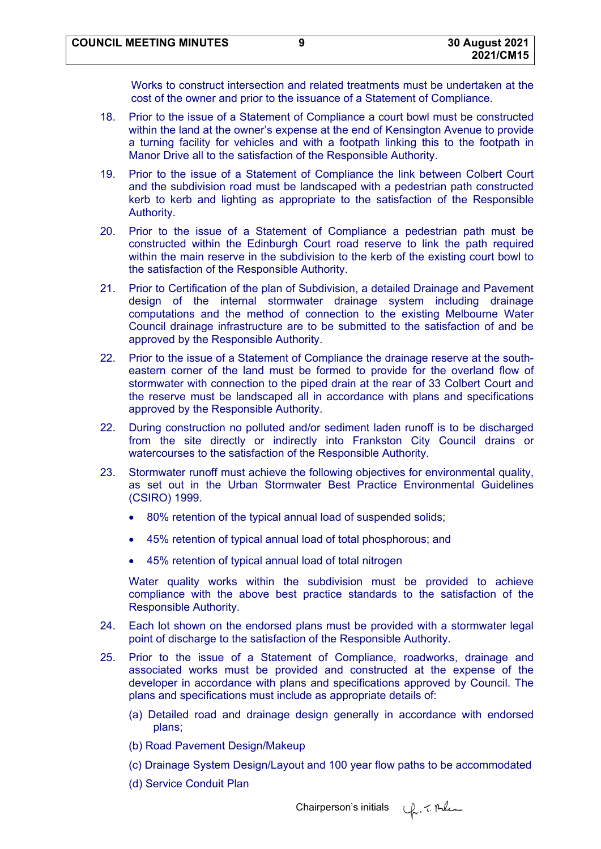Works to construct intersection and related treatments must be undertaken at the cost of the owner and prior to the issuance of a Statement of Compliance.

- 18. Prior to the issue of a Statement of Compliance a court bowl must be constructed within the land at the owner's expense at the end of Kensington Avenue to provide a turning facility for vehicles and with a footpath linking this to the footpath in Manor Drive all to the satisfaction of the Responsible Authority.
- 19. Prior to the issue of a Statement of Compliance the link between Colbert Court and the subdivision road must be landscaped with a pedestrian path constructed kerb to kerb and lighting as appropriate to the satisfaction of the Responsible Authority.
- 20. Prior to the issue of a Statement of Compliance a pedestrian path must be constructed within the Edinburgh Court road reserve to link the path required within the main reserve in the subdivision to the kerb of the existing court bowl to the satisfaction of the Responsible Authority.
- 21. Prior to Certification of the plan of Subdivision, a detailed Drainage and Pavement design of the internal stormwater drainage system including drainage computations and the method of connection to the existing Melbourne Water Council drainage infrastructure are to be submitted to the satisfaction of and be approved by the Responsible Authority.
- 22. Prior to the issue of a Statement of Compliance the drainage reserve at the southeastern corner of the land must be formed to provide for the overland flow of stormwater with connection to the piped drain at the rear of 33 Colbert Court and the reserve must be landscaped all in accordance with plans and specifications approved by the Responsible Authority.
- 22. During construction no polluted and/or sediment laden runoff is to be discharged from the site directly or indirectly into Frankston City Council drains or watercourses to the satisfaction of the Responsible Authority.
- 23. Stormwater runoff must achieve the following objectives for environmental quality, as set out in the Urban Stormwater Best Practice Environmental Guidelines (CSIRO) 1999.
	- 80% retention of the typical annual load of suspended solids;
	- 45% retention of typical annual load of total phosphorous; and
	- 45% retention of typical annual load of total nitrogen

Water quality works within the subdivision must be provided to achieve compliance with the above best practice standards to the satisfaction of the Responsible Authority.

- 24. Each lot shown on the endorsed plans must be provided with a stormwater legal point of discharge to the satisfaction of the Responsible Authority.
- 25. Prior to the issue of a Statement of Compliance, roadworks, drainage and associated works must be provided and constructed at the expense of the developer in accordance with plans and specifications approved by Council. The plans and specifications must include as appropriate details of:
	- (a) Detailed road and drainage design generally in accordance with endorsed plans;
	- (b) Road Pavement Design/Makeup
	- (c) Drainage System Design/Layout and 100 year flow paths to be accommodated
	- (d) Service Conduit Plan

Chairperson's initials  $\varphi$ . The

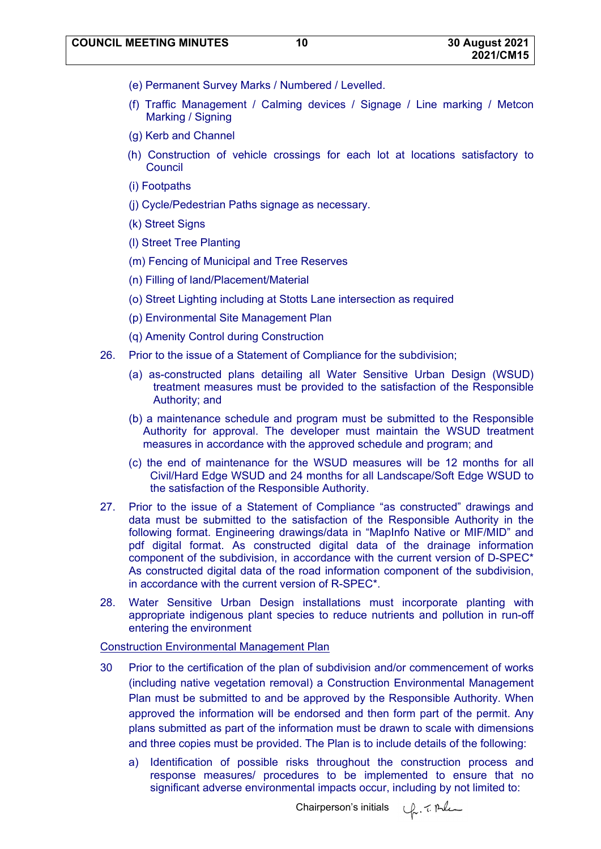- (e) Permanent Survey Marks / Numbered / Levelled.
- (f) Traffic Management / Calming devices / Signage / Line marking / Metcon Marking / Signing
- (g) Kerb and Channel
- (h) Construction of vehicle crossings for each lot at locations satisfactory to **Council**
- (i) Footpaths
- (j) Cycle/Pedestrian Paths signage as necessary.
- (k) Street Signs
- (l) Street Tree Planting
- (m) Fencing of Municipal and Tree Reserves
- (n) Filling of land/Placement/Material
- (o) Street Lighting including at Stotts Lane intersection as required
- (p) Environmental Site Management Plan
- (q) Amenity Control during Construction
- 26. Prior to the issue of a Statement of Compliance for the subdivision;
	- (a) as-constructed plans detailing all Water Sensitive Urban Design (WSUD) treatment measures must be provided to the satisfaction of the Responsible Authority; and
	- (b) a maintenance schedule and program must be submitted to the Responsible Authority for approval. The developer must maintain the WSUD treatment measures in accordance with the approved schedule and program; and
	- (c) the end of maintenance for the WSUD measures will be 12 months for all Civil/Hard Edge WSUD and 24 months for all Landscape/Soft Edge WSUD to the satisfaction of the Responsible Authority.
- 27. Prior to the issue of a Statement of Compliance "as constructed" drawings and data must be submitted to the satisfaction of the Responsible Authority in the following format. Engineering drawings/data in "MapInfo Native or MIF/MID" and pdf digital format. As constructed digital data of the drainage information component of the subdivision, in accordance with the current version of D-SPEC\* As constructed digital data of the road information component of the subdivision, in accordance with the current version of R-SPEC\*.
- 28. Water Sensitive Urban Design installations must incorporate planting with appropriate indigenous plant species to reduce nutrients and pollution in run-off entering the environment

#### Construction Environmental Management Plan

- 30 Prior to the certification of the plan of subdivision and/or commencement of works (including native vegetation removal) a Construction Environmental Management Plan must be submitted to and be approved by the Responsible Authority. When approved the information will be endorsed and then form part of the permit. Any plans submitted as part of the information must be drawn to scale with dimensions and three copies must be provided. The Plan is to include details of the following:
	- a) Identification of possible risks throughout the construction process and response measures/ procedures to be implemented to ensure that no significant adverse environmental impacts occur, including by not limited to: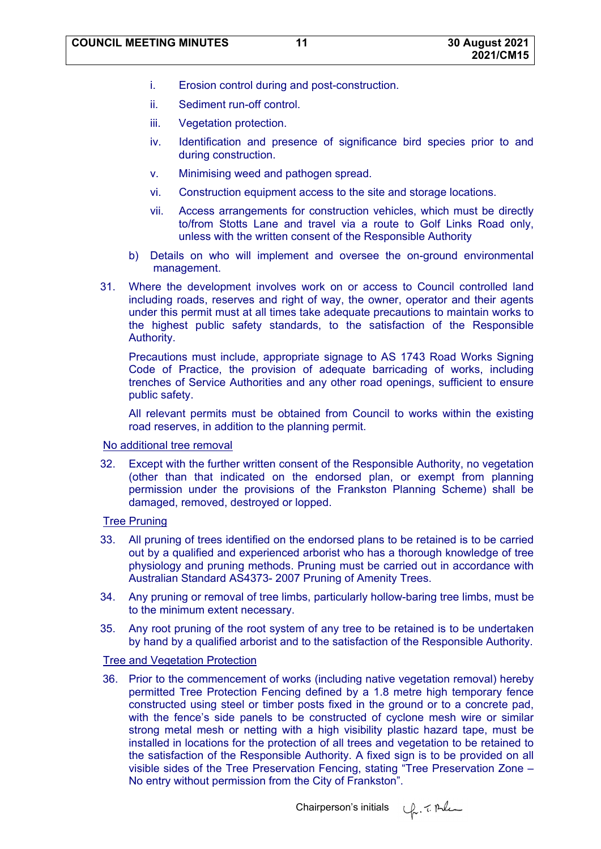- i. Erosion control during and post-construction.
- ii. Sediment run-off control.
- iii. Vegetation protection.
- iv. Identification and presence of significance bird species prior to and during construction.
- v. Minimising weed and pathogen spread.
- vi. Construction equipment access to the site and storage locations.
- vii. Access arrangements for construction vehicles, which must be directly to/from Stotts Lane and travel via a route to Golf Links Road only, unless with the written consent of the Responsible Authority
- b) Details on who will implement and oversee the on-ground environmental management.
- 31. Where the development involves work on or access to Council controlled land including roads, reserves and right of way, the owner, operator and their agents under this permit must at all times take adequate precautions to maintain works to the highest public safety standards, to the satisfaction of the Responsible Authority.

Precautions must include, appropriate signage to AS 1743 Road Works Signing Code of Practice, the provision of adequate barricading of works, including trenches of Service Authorities and any other road openings, sufficient to ensure public safety.

All relevant permits must be obtained from Council to works within the existing road reserves, in addition to the planning permit.

#### No additional tree removal

32. Except with the further written consent of the Responsible Authority, no vegetation (other than that indicated on the endorsed plan, or exempt from planning permission under the provisions of the Frankston Planning Scheme) shall be damaged, removed, destroyed or lopped.

# **Tree Pruning**

- 33. All pruning of trees identified on the endorsed plans to be retained is to be carried out by a qualified and experienced arborist who has a thorough knowledge of tree physiology and pruning methods. Pruning must be carried out in accordance with Australian Standard AS4373- 2007 Pruning of Amenity Trees.
- 34. Any pruning or removal of tree limbs, particularly hollow-baring tree limbs, must be to the minimum extent necessary.
- 35. Any root pruning of the root system of any tree to be retained is to be undertaken by hand by a qualified arborist and to the satisfaction of the Responsible Authority.

# Tree and Vegetation Protection

36. Prior to the commencement of works (including native vegetation removal) hereby permitted Tree Protection Fencing defined by a 1.8 metre high temporary fence constructed using steel or timber posts fixed in the ground or to a concrete pad, with the fence's side panels to be constructed of cyclone mesh wire or similar strong metal mesh or netting with a high visibility plastic hazard tape, must be installed in locations for the protection of all trees and vegetation to be retained to the satisfaction of the Responsible Authority. A fixed sign is to be provided on all visible sides of the Tree Preservation Fencing, stating "Tree Preservation Zone – No entry without permission from the City of Frankston".

Chairperson's initials  $\varphi$ . The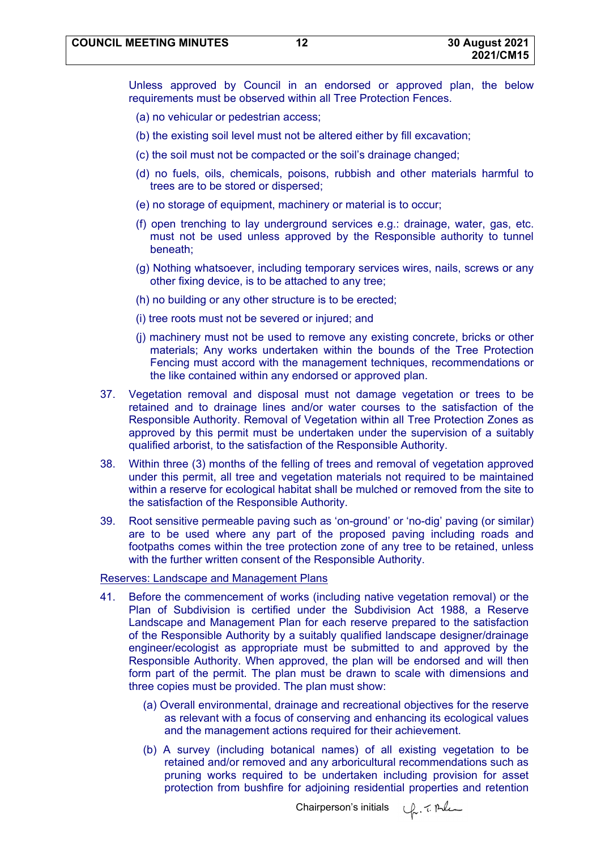Unless approved by Council in an endorsed or approved plan, the below requirements must be observed within all Tree Protection Fences.

- (a) no vehicular or pedestrian access;
- (b) the existing soil level must not be altered either by fill excavation;
- (c) the soil must not be compacted or the soil's drainage changed;
- (d) no fuels, oils, chemicals, poisons, rubbish and other materials harmful to trees are to be stored or dispersed;
- (e) no storage of equipment, machinery or material is to occur;
- (f) open trenching to lay underground services e.g.: drainage, water, gas, etc. must not be used unless approved by the Responsible authority to tunnel beneath;
- (g) Nothing whatsoever, including temporary services wires, nails, screws or any other fixing device, is to be attached to any tree;
- (h) no building or any other structure is to be erected;
- (i) tree roots must not be severed or injured; and
- (j) machinery must not be used to remove any existing concrete, bricks or other materials; Any works undertaken within the bounds of the Tree Protection Fencing must accord with the management techniques, recommendations or the like contained within any endorsed or approved plan.
- 37. Vegetation removal and disposal must not damage vegetation or trees to be retained and to drainage lines and/or water courses to the satisfaction of the Responsible Authority. Removal of Vegetation within all Tree Protection Zones as approved by this permit must be undertaken under the supervision of a suitably qualified arborist, to the satisfaction of the Responsible Authority.
- 38. Within three (3) months of the felling of trees and removal of vegetation approved under this permit, all tree and vegetation materials not required to be maintained within a reserve for ecological habitat shall be mulched or removed from the site to the satisfaction of the Responsible Authority.
- 39. Root sensitive permeable paving such as 'on-ground' or 'no-dig' paving (or similar) are to be used where any part of the proposed paving including roads and footpaths comes within the tree protection zone of any tree to be retained, unless with the further written consent of the Responsible Authority.

#### Reserves: Landscape and Management Plans

- 41. Before the commencement of works (including native vegetation removal) or the Plan of Subdivision is certified under the Subdivision Act 1988, a Reserve Landscape and Management Plan for each reserve prepared to the satisfaction of the Responsible Authority by a suitably qualified landscape designer/drainage engineer/ecologist as appropriate must be submitted to and approved by the Responsible Authority. When approved, the plan will be endorsed and will then form part of the permit. The plan must be drawn to scale with dimensions and three copies must be provided. The plan must show:
	- (a) Overall environmental, drainage and recreational objectives for the reserve as relevant with a focus of conserving and enhancing its ecological values and the management actions required for their achievement.
	- (b) A survey (including botanical names) of all existing vegetation to be retained and/or removed and any arboricultural recommendations such as pruning works required to be undertaken including provision for asset protection from bushfire for adjoining residential properties and retention

Un. T. Polen Chairperson's initials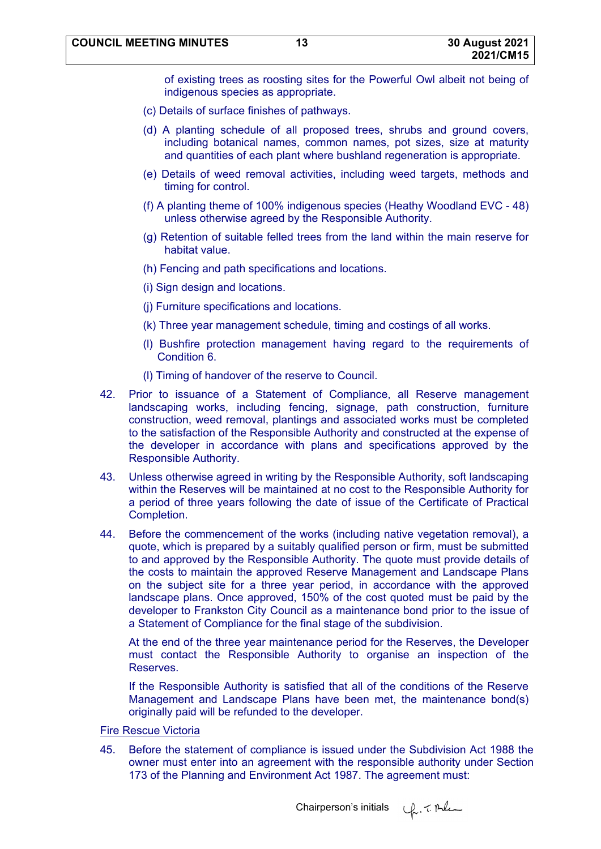of existing trees as roosting sites for the Powerful Owl albeit not being of indigenous species as appropriate.

- (c) Details of surface finishes of pathways.
- (d) A planting schedule of all proposed trees, shrubs and ground covers, including botanical names, common names, pot sizes, size at maturity and quantities of each plant where bushland regeneration is appropriate.
- (e) Details of weed removal activities, including weed targets, methods and timing for control.
- (f) A planting theme of 100% indigenous species (Heathy Woodland EVC 48) unless otherwise agreed by the Responsible Authority.
- (g) Retention of suitable felled trees from the land within the main reserve for habitat value.
- (h) Fencing and path specifications and locations.
- (i) Sign design and locations.
- (j) Furniture specifications and locations.
- (k) Three year management schedule, timing and costings of all works.
- (l) Bushfire protection management having regard to the requirements of Condition 6.
- (l) Timing of handover of the reserve to Council.
- 42. Prior to issuance of a Statement of Compliance, all Reserve management landscaping works, including fencing, signage, path construction, furniture construction, weed removal, plantings and associated works must be completed to the satisfaction of the Responsible Authority and constructed at the expense of the developer in accordance with plans and specifications approved by the Responsible Authority.
- 43. Unless otherwise agreed in writing by the Responsible Authority, soft landscaping within the Reserves will be maintained at no cost to the Responsible Authority for a period of three years following the date of issue of the Certificate of Practical Completion.
- 44. Before the commencement of the works (including native vegetation removal), a quote, which is prepared by a suitably qualified person or firm, must be submitted to and approved by the Responsible Authority. The quote must provide details of the costs to maintain the approved Reserve Management and Landscape Plans on the subject site for a three year period, in accordance with the approved landscape plans. Once approved, 150% of the cost quoted must be paid by the developer to Frankston City Council as a maintenance bond prior to the issue of a Statement of Compliance for the final stage of the subdivision.

At the end of the three year maintenance period for the Reserves, the Developer must contact the Responsible Authority to organise an inspection of the Reserves.

If the Responsible Authority is satisfied that all of the conditions of the Reserve Management and Landscape Plans have been met, the maintenance bond(s) originally paid will be refunded to the developer.

# Fire Rescue Victoria

45. Before the statement of compliance is issued under the Subdivision Act 1988 the owner must enter into an agreement with the responsible authority under Section 173 of the Planning and Environment Act 1987. The agreement must:

Chairperson's initials  $\psi$ , 7. Ale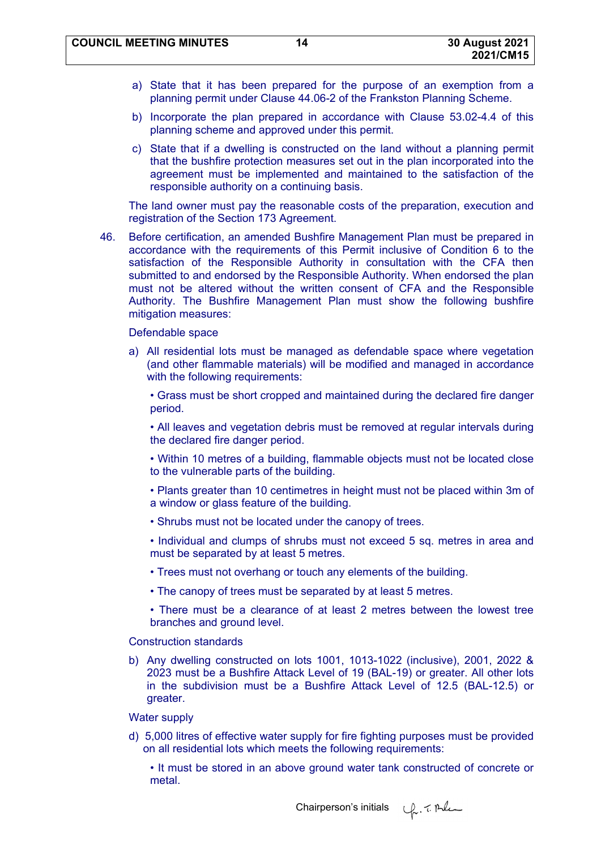- a) State that it has been prepared for the purpose of an exemption from a planning permit under Clause 44.06-2 of the Frankston Planning Scheme.
- b) Incorporate the plan prepared in accordance with Clause 53.02-4.4 of this planning scheme and approved under this permit.
- c) State that if a dwelling is constructed on the land without a planning permit that the bushfire protection measures set out in the plan incorporated into the agreement must be implemented and maintained to the satisfaction of the responsible authority on a continuing basis.

The land owner must pay the reasonable costs of the preparation, execution and registration of the Section 173 Agreement.

46. Before certification, an amended Bushfire Management Plan must be prepared in accordance with the requirements of this Permit inclusive of Condition 6 to the satisfaction of the Responsible Authority in consultation with the CFA then submitted to and endorsed by the Responsible Authority. When endorsed the plan must not be altered without the written consent of CFA and the Responsible Authority. The Bushfire Management Plan must show the following bushfire mitigation measures:

#### Defendable space

a) All residential lots must be managed as defendable space where vegetation (and other flammable materials) will be modified and managed in accordance with the following requirements:

• Grass must be short cropped and maintained during the declared fire danger period.

• All leaves and vegetation debris must be removed at regular intervals during the declared fire danger period.

• Within 10 metres of a building, flammable objects must not be located close to the vulnerable parts of the building.

- Plants greater than 10 centimetres in height must not be placed within 3m of a window or glass feature of the building.
- Shrubs must not be located under the canopy of trees.
- Individual and clumps of shrubs must not exceed 5 sq. metres in area and must be separated by at least 5 metres.
- Trees must not overhang or touch any elements of the building.
- The canopy of trees must be separated by at least 5 metres.

• There must be a clearance of at least 2 metres between the lowest tree branches and ground level.

Construction standards

b) Any dwelling constructed on lots 1001, 1013-1022 (inclusive), 2001, 2022 & 2023 must be a Bushfire Attack Level of 19 (BAL-19) or greater. All other lots in the subdivision must be a Bushfire Attack Level of 12.5 (BAL-12.5) or greater.

Water supply

d) 5,000 litres of effective water supply for fire fighting purposes must be provided on all residential lots which meets the following requirements:

• It must be stored in an above ground water tank constructed of concrete or metal.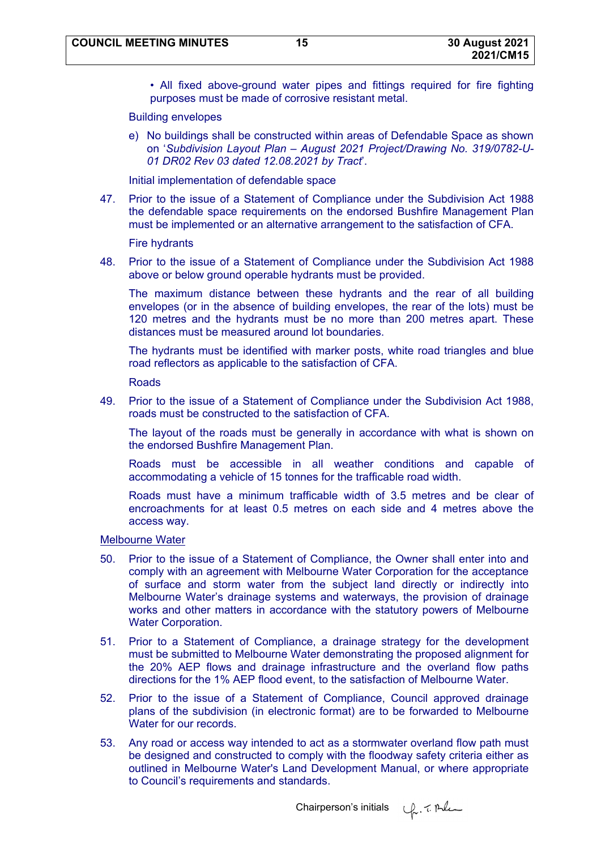• All fixed above-ground water pipes and fittings required for fire fighting purposes must be made of corrosive resistant metal.

#### Building envelopes

e) No buildings shall be constructed within areas of Defendable Space as shown on '*Subdivision Layout Plan – August 2021 Project/Drawing No. 319/0782-U-01 DR02 Rev 03 dated 12.08.2021 by Tract*'.

Initial implementation of defendable space

47. Prior to the issue of a Statement of Compliance under the Subdivision Act 1988 the defendable space requirements on the endorsed Bushfire Management Plan must be implemented or an alternative arrangement to the satisfaction of CFA.

Fire hydrants

48. Prior to the issue of a Statement of Compliance under the Subdivision Act 1988 above or below ground operable hydrants must be provided.

The maximum distance between these hydrants and the rear of all building envelopes (or in the absence of building envelopes, the rear of the lots) must be 120 metres and the hydrants must be no more than 200 metres apart. These distances must be measured around lot boundaries.

The hydrants must be identified with marker posts, white road triangles and blue road reflectors as applicable to the satisfaction of CFA.

Roads

49. Prior to the issue of a Statement of Compliance under the Subdivision Act 1988, roads must be constructed to the satisfaction of CFA.

The layout of the roads must be generally in accordance with what is shown on the endorsed Bushfire Management Plan.

Roads must be accessible in all weather conditions and capable of accommodating a vehicle of 15 tonnes for the trafficable road width.

Roads must have a minimum trafficable width of 3.5 metres and be clear of encroachments for at least 0.5 metres on each side and 4 metres above the access way.

Melbourne Water

- 50. Prior to the issue of a Statement of Compliance, the Owner shall enter into and comply with an agreement with Melbourne Water Corporation for the acceptance of surface and storm water from the subject land directly or indirectly into Melbourne Water's drainage systems and waterways, the provision of drainage works and other matters in accordance with the statutory powers of Melbourne Water Corporation.
- 51. Prior to a Statement of Compliance, a drainage strategy for the development must be submitted to Melbourne Water demonstrating the proposed alignment for the 20% AEP flows and drainage infrastructure and the overland flow paths directions for the 1% AEP flood event, to the satisfaction of Melbourne Water.
- 52. Prior to the issue of a Statement of Compliance, Council approved drainage plans of the subdivision (in electronic format) are to be forwarded to Melbourne Water for our records.
- 53. Any road or access way intended to act as a stormwater overland flow path must be designed and constructed to comply with the floodway safety criteria either as outlined in Melbourne Water's Land Development Manual, or where appropriate to Council's requirements and standards.

Chairperson's initials  $\psi$ . 7. Al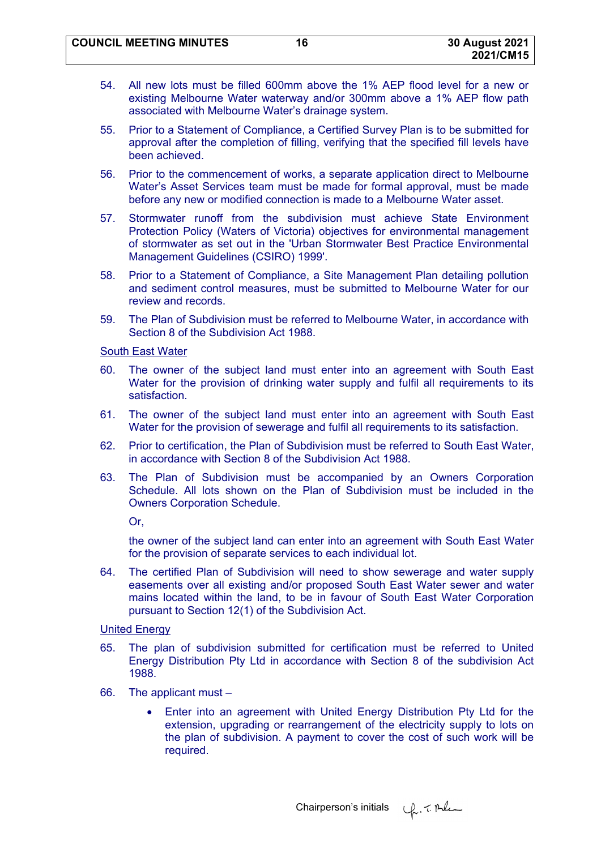- 54. All new lots must be filled 600mm above the 1% AEP flood level for a new or existing Melbourne Water waterway and/or 300mm above a 1% AEP flow path associated with Melbourne Water's drainage system.
- 55. Prior to a Statement of Compliance, a Certified Survey Plan is to be submitted for approval after the completion of filling, verifying that the specified fill levels have been achieved.
- 56. Prior to the commencement of works, a separate application direct to Melbourne Water's Asset Services team must be made for formal approval, must be made before any new or modified connection is made to a Melbourne Water asset.
- 57. Stormwater runoff from the subdivision must achieve State Environment Protection Policy (Waters of Victoria) objectives for environmental management of stormwater as set out in the 'Urban Stormwater Best Practice Environmental Management Guidelines (CSIRO) 1999'.
- 58. Prior to a Statement of Compliance, a Site Management Plan detailing pollution and sediment control measures, must be submitted to Melbourne Water for our review and records.
- 59. The Plan of Subdivision must be referred to Melbourne Water, in accordance with Section 8 of the Subdivision Act 1988.

# South East Water

- 60. The owner of the subject land must enter into an agreement with South East Water for the provision of drinking water supply and fulfil all requirements to its satisfaction.
- 61. The owner of the subject land must enter into an agreement with South East Water for the provision of sewerage and fulfil all requirements to its satisfaction.
- 62. Prior to certification, the Plan of Subdivision must be referred to South East Water, in accordance with Section 8 of the Subdivision Act 1988.
- 63. The Plan of Subdivision must be accompanied by an Owners Corporation Schedule. All lots shown on the Plan of Subdivision must be included in the Owners Corporation Schedule.

Or,

the owner of the subject land can enter into an agreement with South East Water for the provision of separate services to each individual lot.

64. The certified Plan of Subdivision will need to show sewerage and water supply easements over all existing and/or proposed South East Water sewer and water mains located within the land, to be in favour of South East Water Corporation pursuant to Section 12(1) of the Subdivision Act.

#### United Energy

- 65. The plan of subdivision submitted for certification must be referred to United Energy Distribution Pty Ltd in accordance with Section 8 of the subdivision Act 1988.
- 66. The applicant must
	- Enter into an agreement with United Energy Distribution Pty Ltd for the extension, upgrading or rearrangement of the electricity supply to lots on the plan of subdivision. A payment to cover the cost of such work will be required.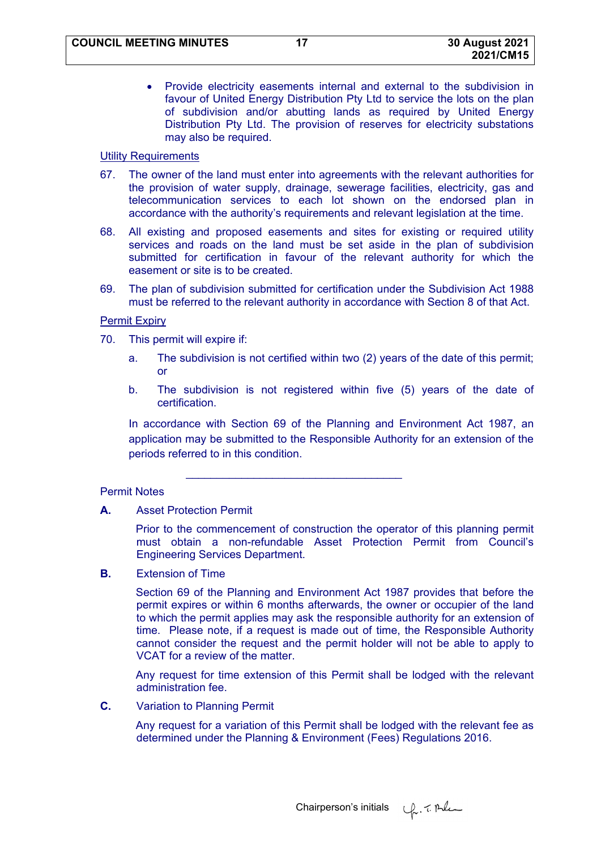Provide electricity easements internal and external to the subdivision in favour of United Energy Distribution Pty Ltd to service the lots on the plan of subdivision and/or abutting lands as required by United Energy Distribution Pty Ltd. The provision of reserves for electricity substations may also be required.

### **Utility Requirements**

- 67. The owner of the land must enter into agreements with the relevant authorities for the provision of water supply, drainage, sewerage facilities, electricity, gas and telecommunication services to each lot shown on the endorsed plan in accordance with the authority's requirements and relevant legislation at the time.
- 68. All existing and proposed easements and sites for existing or required utility services and roads on the land must be set aside in the plan of subdivision submitted for certification in favour of the relevant authority for which the easement or site is to be created.
- 69. The plan of subdivision submitted for certification under the Subdivision Act 1988 must be referred to the relevant authority in accordance with Section 8 of that Act.

#### Permit Expiry

- 70. This permit will expire if:
	- a. The subdivision is not certified within two (2) years of the date of this permit; or
	- b. The subdivision is not registered within five (5) years of the date of certification.

In accordance with Section 69 of the Planning and Environment Act 1987, an application may be submitted to the Responsible Authority for an extension of the periods referred to in this condition.

 $\mathcal{L}_\text{max} = \frac{1}{2} \sum_{i=1}^{n} \frac{1}{2} \sum_{i=1}^{n} \frac{1}{2} \sum_{i=1}^{n} \frac{1}{2} \sum_{i=1}^{n} \frac{1}{2} \sum_{i=1}^{n} \frac{1}{2} \sum_{i=1}^{n} \frac{1}{2} \sum_{i=1}^{n} \frac{1}{2} \sum_{i=1}^{n} \frac{1}{2} \sum_{i=1}^{n} \frac{1}{2} \sum_{i=1}^{n} \frac{1}{2} \sum_{i=1}^{n} \frac{1}{2} \sum_{i=1}^{n} \frac{1$ 

#### Permit Notes

**A.** Asset Protection Permit

Prior to the commencement of construction the operator of this planning permit must obtain a non-refundable Asset Protection Permit from Council's Engineering Services Department.

**B.** Extension of Time

Section 69 of the Planning and Environment Act 1987 provides that before the permit expires or within 6 months afterwards, the owner or occupier of the land to which the permit applies may ask the responsible authority for an extension of time. Please note, if a request is made out of time, the Responsible Authority cannot consider the request and the permit holder will not be able to apply to VCAT for a review of the matter.

Any request for time extension of this Permit shall be lodged with the relevant administration fee.

**C.** Variation to Planning Permit

Any request for a variation of this Permit shall be lodged with the relevant fee as determined under the Planning & Environment (Fees) Regulations 2016.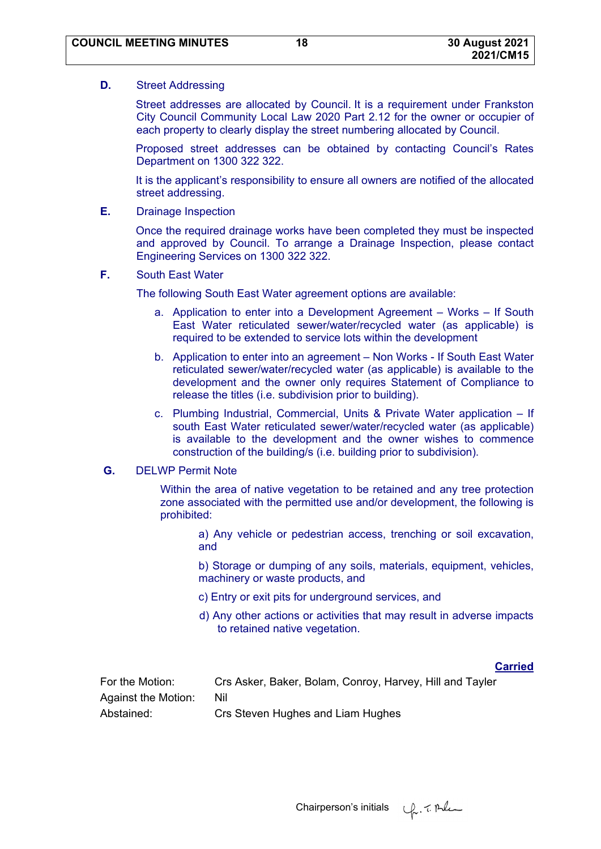### **D.** Street Addressing

Street addresses are allocated by Council. It is a requirement under Frankston City Council Community Local Law 2020 Part 2.12 for the owner or occupier of each property to clearly display the street numbering allocated by Council.

Proposed street addresses can be obtained by contacting Council's Rates Department on 1300 322 322.

It is the applicant's responsibility to ensure all owners are notified of the allocated street addressing.

**E.** Drainage Inspection

Once the required drainage works have been completed they must be inspected and approved by Council. To arrange a Drainage Inspection, please contact Engineering Services on 1300 322 322.

**F.** South East Water

The following South East Water agreement options are available:

- a. Application to enter into a Development Agreement Works If South East Water reticulated sewer/water/recycled water (as applicable) is required to be extended to service lots within the development
- b. Application to enter into an agreement Non Works If South East Water reticulated sewer/water/recycled water (as applicable) is available to the development and the owner only requires Statement of Compliance to release the titles (i.e. subdivision prior to building).
- c. Plumbing Industrial, Commercial, Units & Private Water application If south East Water reticulated sewer/water/recycled water (as applicable) is available to the development and the owner wishes to commence construction of the building/s (i.e. building prior to subdivision).

# **G.** DELWP Permit Note

Within the area of native vegetation to be retained and any tree protection zone associated with the permitted use and/or development, the following is prohibited:

 a) Any vehicle or pedestrian access, trenching or soil excavation, and

 b) Storage or dumping of any soils, materials, equipment, vehicles, machinery or waste products, and

- c) Entry or exit pits for underground services, and
- d) Any other actions or activities that may result in adverse impacts to retained native vegetation.

# **Carried**

| For the Motion:     | Crs Asker, Baker, Bolam, Conroy, Harvey, Hill and Tayler |
|---------------------|----------------------------------------------------------|
| Against the Motion: | Nil                                                      |
| Abstained:          | Crs Steven Hughes and Liam Hughes                        |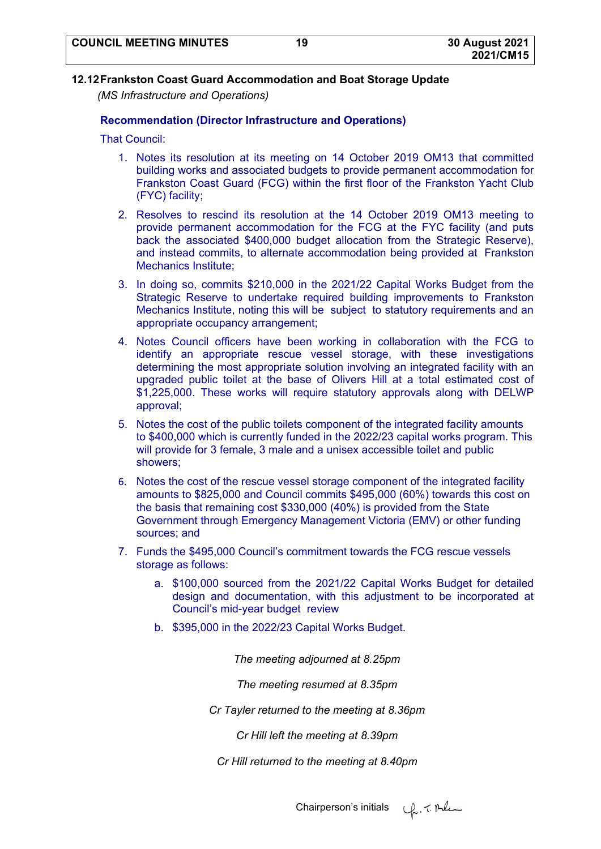# **12.12 Frankston Coast Guard Accommodation and Boat Storage Update**

*(MS Infrastructure and Operations)* 

# **Recommendation (Director Infrastructure and Operations)**

That Council:

- 1. Notes its resolution at its meeting on 14 October 2019 OM13 that committed building works and associated budgets to provide permanent accommodation for Frankston Coast Guard (FCG) within the first floor of the Frankston Yacht Club (FYC) facility;
- 2. Resolves to rescind its resolution at the 14 October 2019 OM13 meeting to provide permanent accommodation for the FCG at the FYC facility (and puts back the associated \$400,000 budget allocation from the Strategic Reserve), and instead commits, to alternate accommodation being provided at Frankston Mechanics Institute;
- 3. In doing so, commits \$210,000 in the 2021/22 Capital Works Budget from the Strategic Reserve to undertake required building improvements to Frankston Mechanics Institute, noting this will be subject to statutory requirements and an appropriate occupancy arrangement;
- 4. Notes Council officers have been working in collaboration with the FCG to identify an appropriate rescue vessel storage, with these investigations determining the most appropriate solution involving an integrated facility with an upgraded public toilet at the base of Olivers Hill at a total estimated cost of \$1,225,000. These works will require statutory approvals along with DELWP approval;
- 5. Notes the cost of the public toilets component of the integrated facility amounts to \$400,000 which is currently funded in the 2022/23 capital works program. This will provide for 3 female, 3 male and a unisex accessible toilet and public showers;
- 6. Notes the cost of the rescue vessel storage component of the integrated facility amounts to \$825,000 and Council commits \$495,000 (60%) towards this cost on the basis that remaining cost \$330,000 (40%) is provided from the State Government through Emergency Management Victoria (EMV) or other funding sources; and
- 7. Funds the \$495,000 Council's commitment towards the FCG rescue vessels storage as follows:
	- a. \$100,000 sourced from the 2021/22 Capital Works Budget for detailed design and documentation, with this adjustment to be incorporated at Council's mid-year budget review
	- b. \$395,000 in the 2022/23 Capital Works Budget.

*The meeting adjourned at 8.25pm* 

*The meeting resumed at 8.35pm* 

*Cr Tayler returned to the meeting at 8.36pm* 

*Cr Hill left the meeting at 8.39pm* 

*Cr Hill returned to the meeting at 8.40pm* 

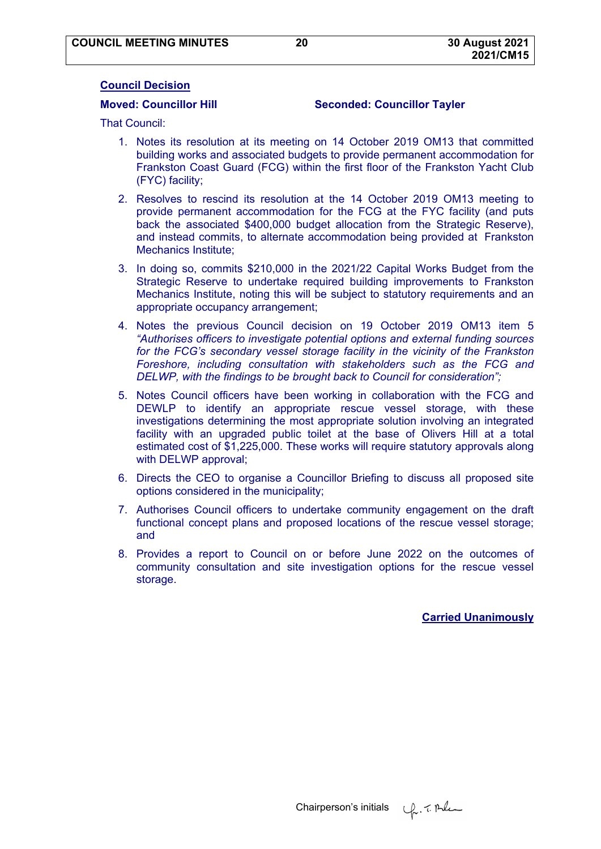### **Council Decision**

### **Moved: Councillor Hill Seconded: Councillor Tayler**

That Council:

- 1. Notes its resolution at its meeting on 14 October 2019 OM13 that committed building works and associated budgets to provide permanent accommodation for Frankston Coast Guard (FCG) within the first floor of the Frankston Yacht Club (FYC) facility;
- 2. Resolves to rescind its resolution at the 14 October 2019 OM13 meeting to provide permanent accommodation for the FCG at the FYC facility (and puts back the associated \$400,000 budget allocation from the Strategic Reserve), and instead commits, to alternate accommodation being provided at Frankston Mechanics Institute;
- 3. In doing so, commits \$210,000 in the 2021/22 Capital Works Budget from the Strategic Reserve to undertake required building improvements to Frankston Mechanics Institute, noting this will be subject to statutory requirements and an appropriate occupancy arrangement;
- 4. Notes the previous Council decision on 19 October 2019 OM13 item 5 *"Authorises officers to investigate potential options and external funding sources for the FCG's secondary vessel storage facility in the vicinity of the Frankston Foreshore, including consultation with stakeholders such as the FCG and DELWP, with the findings to be brought back to Council for consideration";*
- 5. Notes Council officers have been working in collaboration with the FCG and DEWLP to identify an appropriate rescue vessel storage, with these investigations determining the most appropriate solution involving an integrated facility with an upgraded public toilet at the base of Olivers Hill at a total estimated cost of \$1,225,000. These works will require statutory approvals along with DELWP approval;
- 6. Directs the CEO to organise a Councillor Briefing to discuss all proposed site options considered in the municipality;
- 7. Authorises Council officers to undertake community engagement on the draft functional concept plans and proposed locations of the rescue vessel storage; and
- 8. Provides a report to Council on or before June 2022 on the outcomes of community consultation and site investigation options for the rescue vessel storage.

**Carried Unanimously**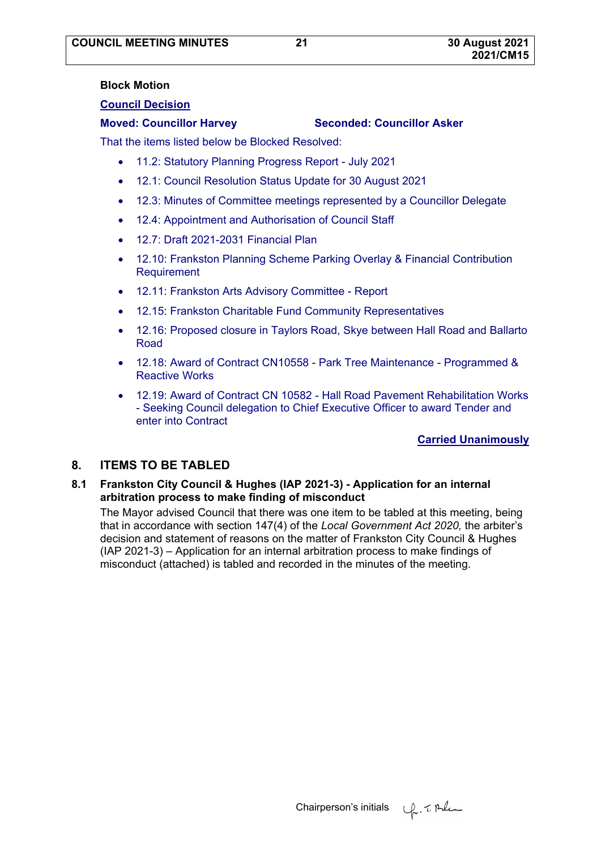# **2021/CM15**

#### **Block Motion**

### **Council Decision**

# **Moved: Councillor Harvey Seconded: Councillor Asker**

That the items listed below be Blocked Resolved:

- 11.2: Statutory Planning Progress Report July 2021
- 12.1: Council Resolution Status Update for 30 August 2021
- 12.3: Minutes of Committee meetings represented by a Councillor Delegate
- 12.4: Appointment and Authorisation of Council Staff
- 12.7: Draft 2021-2031 Financial Plan
- 12.10: Frankston Planning Scheme Parking Overlay & Financial Contribution Requirement
- 12.11: Frankston Arts Advisory Committee Report
- 12.15: Frankston Charitable Fund Community Representatives
- 12.16: Proposed closure in Taylors Road, Skye between Hall Road and Ballarto Road
- 12.18: Award of Contract CN10558 Park Tree Maintenance Programmed & Reactive Works
- 12.19: Award of Contract CN 10582 Hall Road Pavement Rehabilitation Works - Seeking Council delegation to Chief Executive Officer to award Tender and enter into Contract

# **Carried Unanimously**

# **8. ITEMS TO BE TABLED**

# **8.1 Frankston City Council & Hughes (IAP 2021-3) - Application for an internal arbitration process to make finding of misconduct**

The Mayor advised Council that there was one item to be tabled at this meeting, being that in accordance with section 147(4) of the *Local Government Act 2020,* the arbiter's decision and statement of reasons on the matter of Frankston City Council & Hughes (IAP 2021-3) – Application for an internal arbitration process to make findings of misconduct (attached) is tabled and recorded in the minutes of the meeting.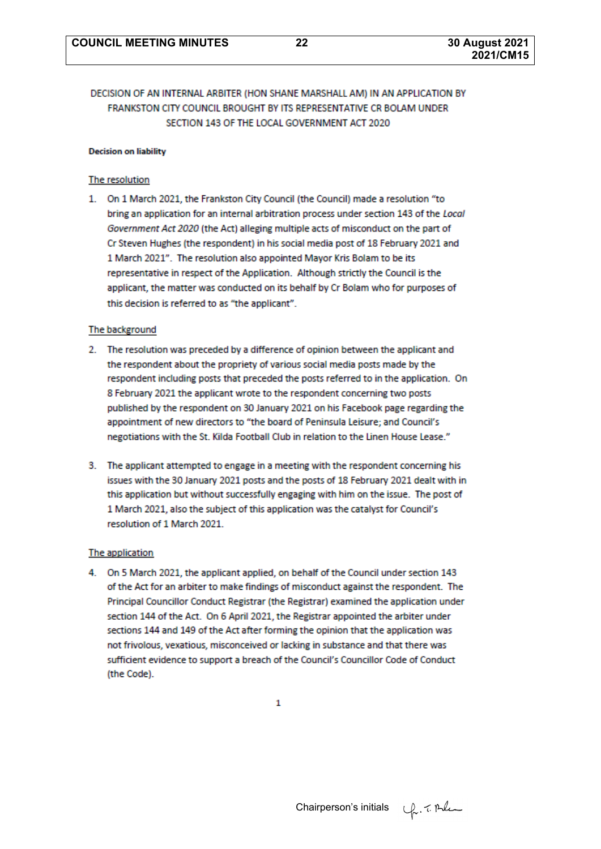# DECISION OF AN INTERNAL ARBITER (HON SHANE MARSHALL AM) IN AN APPLICATION BY FRANKSTON CITY COUNCIL BROUGHT BY ITS REPRESENTATIVE CR BOLAM UNDER SECTION 143 OF THE LOCAL GOVERNMENT ACT 2020

#### **Decision on liability**

#### The resolution

1. On 1 March 2021, the Frankston City Council (the Council) made a resolution "to bring an application for an internal arbitration process under section 143 of the Local Government Act 2020 (the Act) alleging multiple acts of misconduct on the part of Cr Steven Hughes (the respondent) in his social media post of 18 February 2021 and 1 March 2021". The resolution also appointed Mayor Kris Bolam to be its representative in respect of the Application. Although strictly the Council is the applicant, the matter was conducted on its behalf by Cr Bolam who for purposes of this decision is referred to as "the applicant".

#### The background

- 2. The resolution was preceded by a difference of opinion between the applicant and the respondent about the propriety of various social media posts made by the respondent including posts that preceded the posts referred to in the application. On 8 February 2021 the applicant wrote to the respondent concerning two posts published by the respondent on 30 January 2021 on his Facebook page regarding the appointment of new directors to "the board of Peninsula Leisure; and Council's negotiations with the St. Kilda Football Club in relation to the Linen House Lease."
- 3. The applicant attempted to engage in a meeting with the respondent concerning his issues with the 30 January 2021 posts and the posts of 18 February 2021 dealt with in this application but without successfully engaging with him on the issue. The post of 1 March 2021, also the subject of this application was the catalyst for Council's resolution of 1 March 2021.

#### The application

4. On 5 March 2021, the applicant applied, on behalf of the Council under section 143 of the Act for an arbiter to make findings of misconduct against the respondent. The Principal Councillor Conduct Registrar (the Registrar) examined the application under section 144 of the Act. On 6 April 2021, the Registrar appointed the arbiter under sections 144 and 149 of the Act after forming the opinion that the application was not frivolous, vexatious, misconceived or lacking in substance and that there was sufficient evidence to support a breach of the Council's Councillor Code of Conduct (the Code).

1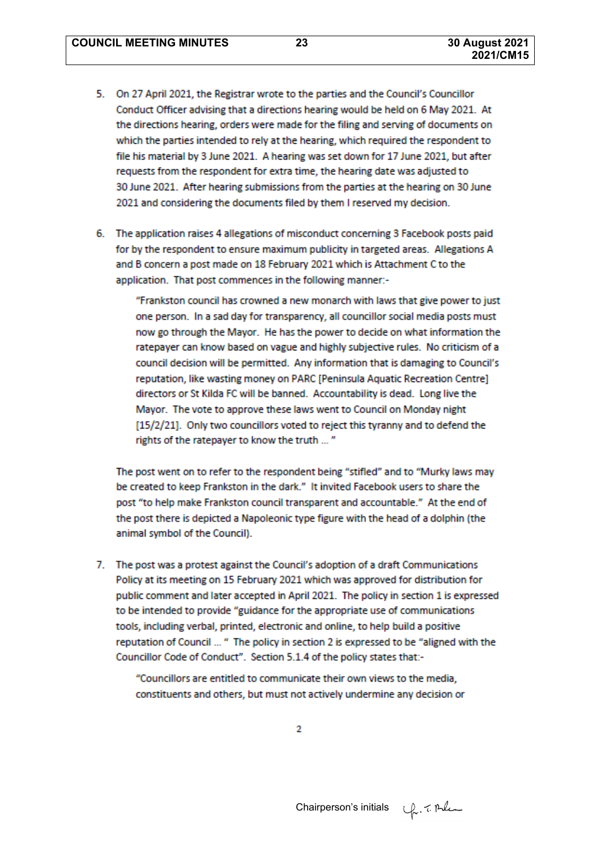- 5. On 27 April 2021, the Registrar wrote to the parties and the Council's Councillor Conduct Officer advising that a directions hearing would be held on 6 May 2021. At the directions hearing, orders were made for the filing and serving of documents on which the parties intended to rely at the hearing, which required the respondent to file his material by 3 June 2021. A hearing was set down for 17 June 2021, but after requests from the respondent for extra time, the hearing date was adjusted to 30 June 2021. After hearing submissions from the parties at the hearing on 30 June 2021 and considering the documents filed by them I reserved my decision.
- 6. The application raises 4 allegations of misconduct concerning 3 Facebook posts paid for by the respondent to ensure maximum publicity in targeted areas. Allegations A and B concern a post made on 18 February 2021 which is Attachment C to the application. That post commences in the following manner:-

"Frankston council has crowned a new monarch with laws that give power to just one person. In a sad day for transparency, all councillor social media posts must now go through the Mayor. He has the power to decide on what information the ratepayer can know based on vague and highly subjective rules. No criticism of a council decision will be permitted. Any information that is damaging to Council's reputation, like wasting money on PARC [Peninsula Aquatic Recreation Centre] directors or St Kilda FC will be banned. Accountability is dead. Long live the Mayor. The vote to approve these laws went to Council on Monday night [15/2/21]. Only two councillors voted to reject this tyranny and to defend the rights of the ratepayer to know the truth ... "

The post went on to refer to the respondent being "stifled" and to "Murky laws may be created to keep Frankston in the dark." It invited Facebook users to share the post "to help make Frankston council transparent and accountable." At the end of the post there is depicted a Napoleonic type figure with the head of a dolphin (the animal symbol of the Council).

7. The post was a protest against the Council's adoption of a draft Communications Policy at its meeting on 15 February 2021 which was approved for distribution for public comment and later accepted in April 2021. The policy in section 1 is expressed to be intended to provide "guidance for the appropriate use of communications tools, including verbal, printed, electronic and online, to help build a positive reputation of Council ... " The policy in section 2 is expressed to be "aligned with the Councillor Code of Conduct". Section 5.1.4 of the policy states that:-

"Councillors are entitled to communicate their own views to the media, constituents and others, but must not actively undermine any decision or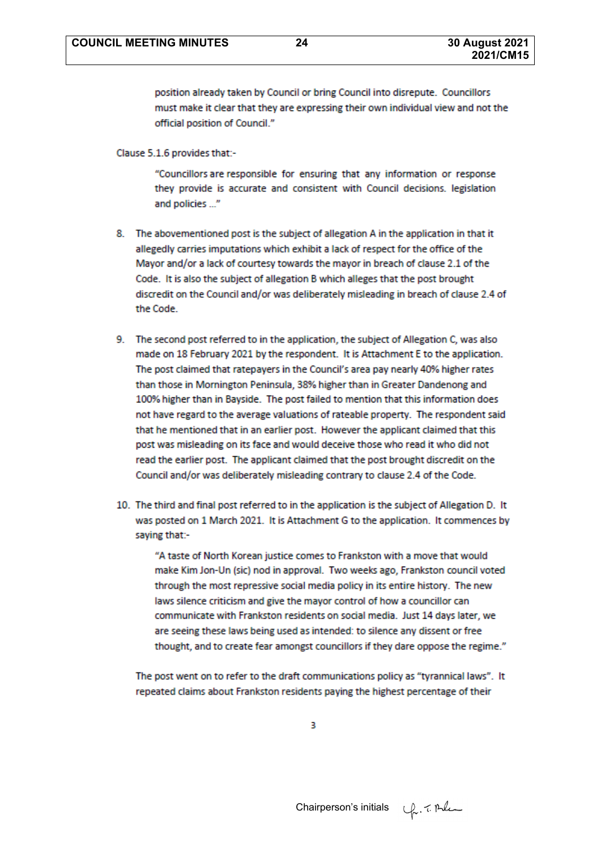position already taken by Council or bring Council into disrepute. Councillors must make it clear that they are expressing their own individual view and not the official position of Council."

Clause 5.1.6 provides that:-

"Councillors are responsible for ensuring that any information or response they provide is accurate and consistent with Council decisions. legislation and policies ..."

- 8. The abovementioned post is the subject of allegation A in the application in that it allegedly carries imputations which exhibit a lack of respect for the office of the Mayor and/or a lack of courtesy towards the mayor in breach of clause 2.1 of the Code. It is also the subject of allegation B which alleges that the post brought discredit on the Council and/or was deliberately misleading in breach of clause 2.4 of the Code.
- 9. The second post referred to in the application, the subject of Allegation C, was also made on 18 February 2021 by the respondent. It is Attachment E to the application. The post claimed that ratepayers in the Council's area pay nearly 40% higher rates than those in Mornington Peninsula, 38% higher than in Greater Dandenong and 100% higher than in Bayside. The post failed to mention that this information does not have regard to the average valuations of rateable property. The respondent said that he mentioned that in an earlier post. However the applicant claimed that this post was misleading on its face and would deceive those who read it who did not read the earlier post. The applicant claimed that the post brought discredit on the Council and/or was deliberately misleading contrary to clause 2.4 of the Code.
- 10. The third and final post referred to in the application is the subject of Allegation D. It was posted on 1 March 2021. It is Attachment G to the application. It commences by saying that:-

"A taste of North Korean justice comes to Frankston with a move that would make Kim Jon-Un (sic) nod in approval. Two weeks ago, Frankston council voted through the most repressive social media policy in its entire history. The new laws silence criticism and give the mayor control of how a councillor can communicate with Frankston residents on social media. Just 14 days later, we are seeing these laws being used as intended: to silence any dissent or free thought, and to create fear amongst councillors if they dare oppose the regime."

The post went on to refer to the draft communications policy as "tyrannical laws". It repeated claims about Frankston residents paying the highest percentage of their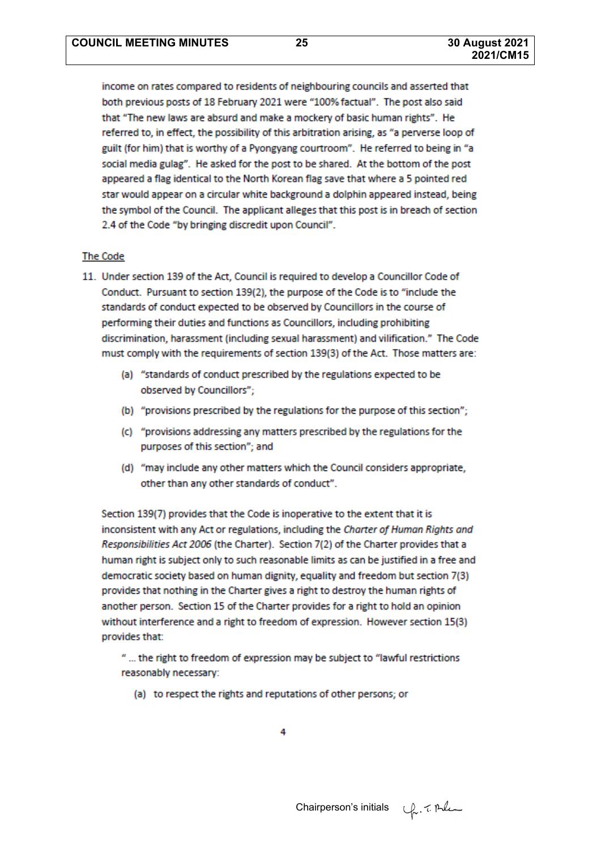income on rates compared to residents of neighbouring councils and asserted that both previous posts of 18 February 2021 were "100% factual". The post also said that "The new laws are absurd and make a mockery of basic human rights". He referred to, in effect, the possibility of this arbitration arising, as "a perverse loop of guilt (for him) that is worthy of a Pyongyang courtroom". He referred to being in "a social media gulag". He asked for the post to be shared. At the bottom of the post appeared a flag identical to the North Korean flag save that where a 5 pointed red star would appear on a circular white background a dolphin appeared instead, being the symbol of the Council. The applicant alleges that this post is in breach of section 2.4 of the Code "by bringing discredit upon Council".

#### **The Code**

- 11. Under section 139 of the Act, Council is required to develop a Councillor Code of Conduct. Pursuant to section 139(2), the purpose of the Code is to "include the standards of conduct expected to be observed by Councillors in the course of performing their duties and functions as Councillors, including prohibiting discrimination, harassment (including sexual harassment) and vilification." The Code must comply with the requirements of section 139(3) of the Act. Those matters are:
	- (a) "standards of conduct prescribed by the regulations expected to be observed by Councillors";
	- (b) "provisions prescribed by the regulations for the purpose of this section";
	- (c) "provisions addressing any matters prescribed by the regulations for the purposes of this section"; and
	- (d) "may include any other matters which the Council considers appropriate, other than any other standards of conduct".

Section 139(7) provides that the Code is inoperative to the extent that it is inconsistent with any Act or regulations, including the Charter of Human Rights and Responsibilities Act 2006 (the Charter). Section 7(2) of the Charter provides that a human right is subject only to such reasonable limits as can be justified in a free and democratic society based on human dignity, equality and freedom but section 7(3) provides that nothing in the Charter gives a right to destroy the human rights of another person. Section 15 of the Charter provides for a right to hold an opinion without interference and a right to freedom of expression. However section 15(3) provides that:

" ... the right to freedom of expression may be subject to "lawful restrictions reasonably necessary:

(a) to respect the rights and reputations of other persons; or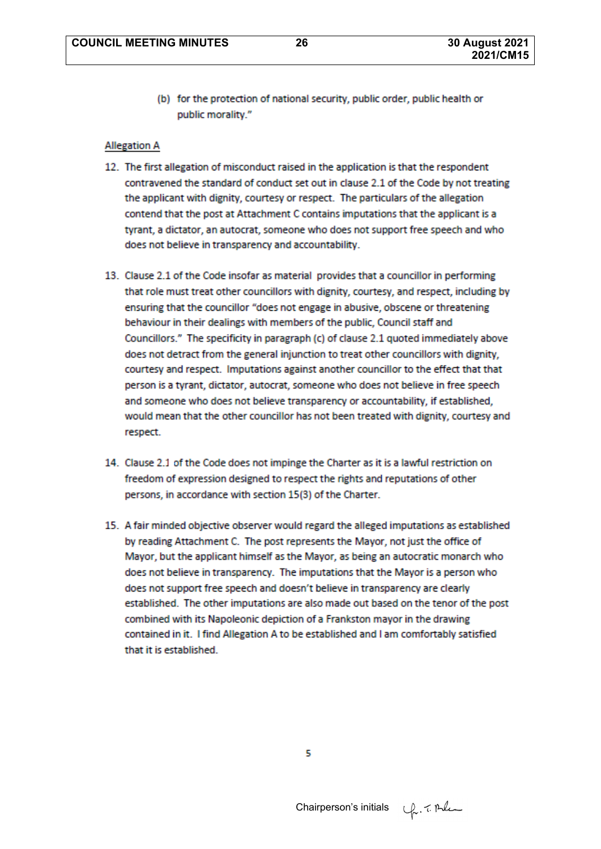(b) for the protection of national security, public order, public health or public morality."

#### **Allegation A**

- 12. The first allegation of misconduct raised in the application is that the respondent contravened the standard of conduct set out in clause 2.1 of the Code by not treating the applicant with dignity, courtesy or respect. The particulars of the allegation contend that the post at Attachment C contains imputations that the applicant is a tyrant, a dictator, an autocrat, someone who does not support free speech and who does not believe in transparency and accountability.
- 13. Clause 2.1 of the Code insofar as material provides that a councillor in performing that role must treat other councillors with dignity, courtesy, and respect, including by ensuring that the councillor "does not engage in abusive, obscene or threatening behaviour in their dealings with members of the public, Council staff and Councillors." The specificity in paragraph (c) of clause 2.1 quoted immediately above does not detract from the general injunction to treat other councillors with dignity, courtesy and respect. Imputations against another councillor to the effect that that person is a tyrant, dictator, autocrat, someone who does not believe in free speech and someone who does not believe transparency or accountability, if established, would mean that the other councillor has not been treated with dignity, courtesy and respect.
- 14. Clause 2.1 of the Code does not impinge the Charter as it is a lawful restriction on freedom of expression designed to respect the rights and reputations of other persons, in accordance with section 15(3) of the Charter.
- 15. A fair minded objective observer would regard the alleged imputations as established by reading Attachment C. The post represents the Mayor, not just the office of Mayor, but the applicant himself as the Mayor, as being an autocratic monarch who does not believe in transparency. The imputations that the Mayor is a person who does not support free speech and doesn't believe in transparency are clearly established. The other imputations are also made out based on the tenor of the post combined with its Napoleonic depiction of a Frankston mayor in the drawing contained in it. I find Allegation A to be established and I am comfortably satisfied that it is established.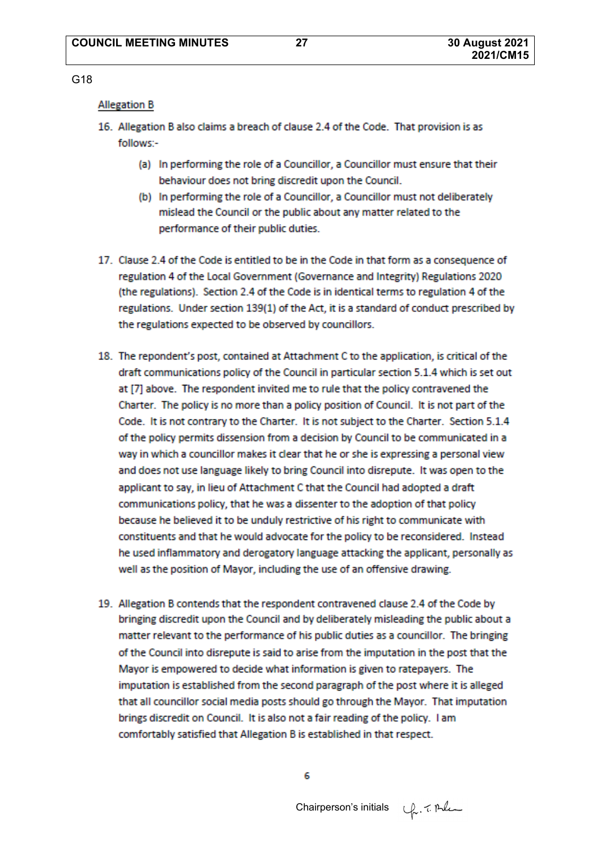#### G18

#### **Allegation B**

- 16. Allegation B also claims a breach of clause 2.4 of the Code. That provision is as follows:-
	- (a) In performing the role of a Councillor, a Councillor must ensure that their behaviour does not bring discredit upon the Council.
	- (b) In performing the role of a Councillor, a Councillor must not deliberately mislead the Council or the public about any matter related to the performance of their public duties.
- 17. Clause 2.4 of the Code is entitled to be in the Code in that form as a consequence of regulation 4 of the Local Government (Governance and Integrity) Regulations 2020 (the regulations). Section 2.4 of the Code is in identical terms to regulation 4 of the regulations. Under section 139(1) of the Act, it is a standard of conduct prescribed by the regulations expected to be observed by councillors.
- 18. The repondent's post, contained at Attachment C to the application, is critical of the draft communications policy of the Council in particular section 5.1.4 which is set out at [7] above. The respondent invited me to rule that the policy contravened the Charter. The policy is no more than a policy position of Council. It is not part of the Code. It is not contrary to the Charter. It is not subject to the Charter. Section 5.1.4 of the policy permits dissension from a decision by Council to be communicated in a way in which a councillor makes it clear that he or she is expressing a personal view and does not use language likely to bring Council into disrepute. It was open to the applicant to say, in lieu of Attachment C that the Council had adopted a draft communications policy, that he was a dissenter to the adoption of that policy because he believed it to be unduly restrictive of his right to communicate with constituents and that he would advocate for the policy to be reconsidered. Instead he used inflammatory and derogatory language attacking the applicant, personally as well as the position of Mayor, including the use of an offensive drawing.
- 19. Allegation B contends that the respondent contravened clause 2.4 of the Code by bringing discredit upon the Council and by deliberately misleading the public about a matter relevant to the performance of his public duties as a councillor. The bringing of the Council into disrepute is said to arise from the imputation in the post that the Mayor is empowered to decide what information is given to ratepayers. The imputation is established from the second paragraph of the post where it is alleged that all councillor social media posts should go through the Mayor. That imputation brings discredit on Council. It is also not a fair reading of the policy. I am comfortably satisfied that Allegation B is established in that respect.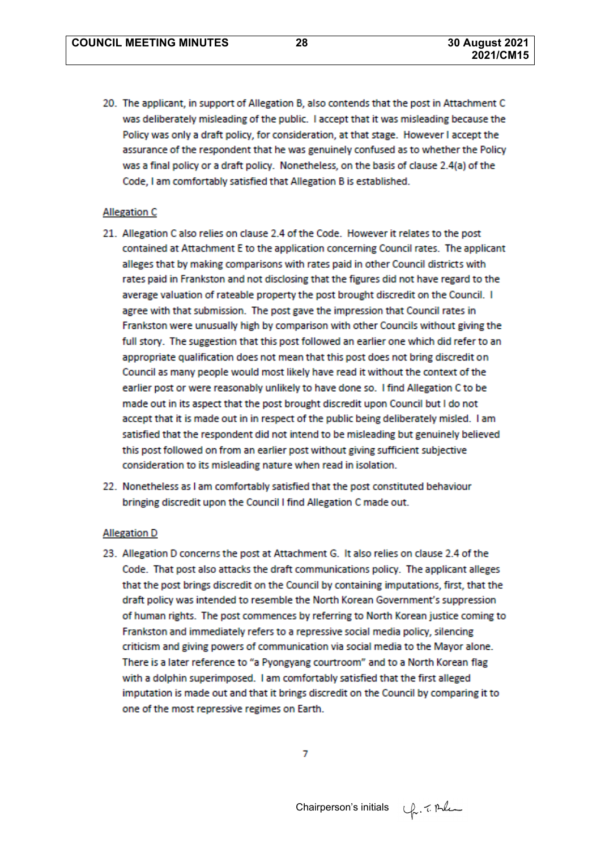20. The applicant, in support of Allegation B, also contends that the post in Attachment C was deliberately misleading of the public. I accept that it was misleading because the Policy was only a draft policy, for consideration, at that stage. However I accept the assurance of the respondent that he was genuinely confused as to whether the Policy was a final policy or a draft policy. Nonetheless, on the basis of clause 2.4(a) of the Code, I am comfortably satisfied that Allegation B is established.

#### **Allegation C**

- 21. Allegation C also relies on clause 2.4 of the Code. However it relates to the post contained at Attachment E to the application concerning Council rates. The applicant alleges that by making comparisons with rates paid in other Council districts with rates paid in Frankston and not disclosing that the figures did not have regard to the average valuation of rateable property the post brought discredit on the Council. I agree with that submission. The post gave the impression that Council rates in Frankston were unusually high by comparison with other Councils without giving the full story. The suggestion that this post followed an earlier one which did refer to an appropriate qualification does not mean that this post does not bring discredit on Council as many people would most likely have read it without the context of the earlier post or were reasonably unlikely to have done so. I find Allegation C to be made out in its aspect that the post brought discredit upon Council but I do not accept that it is made out in in respect of the public being deliberately misled. I am satisfied that the respondent did not intend to be misleading but genuinely believed this post followed on from an earlier post without giving sufficient subjective consideration to its misleading nature when read in isolation.
- 22. Nonetheless as I am comfortably satisfied that the post constituted behaviour bringing discredit upon the Council I find Allegation C made out.

#### **Allegation D**

23. Allegation D concerns the post at Attachment G. It also relies on clause 2.4 of the Code. That post also attacks the draft communications policy. The applicant alleges that the post brings discredit on the Council by containing imputations, first, that the draft policy was intended to resemble the North Korean Government's suppression of human rights. The post commences by referring to North Korean justice coming to Frankston and immediately refers to a repressive social media policy, silencing criticism and giving powers of communication via social media to the Mayor alone. There is a later reference to "a Pyongyang courtroom" and to a North Korean flag with a dolphin superimposed. I am comfortably satisfied that the first alleged imputation is made out and that it brings discredit on the Council by comparing it to one of the most repressive regimes on Earth.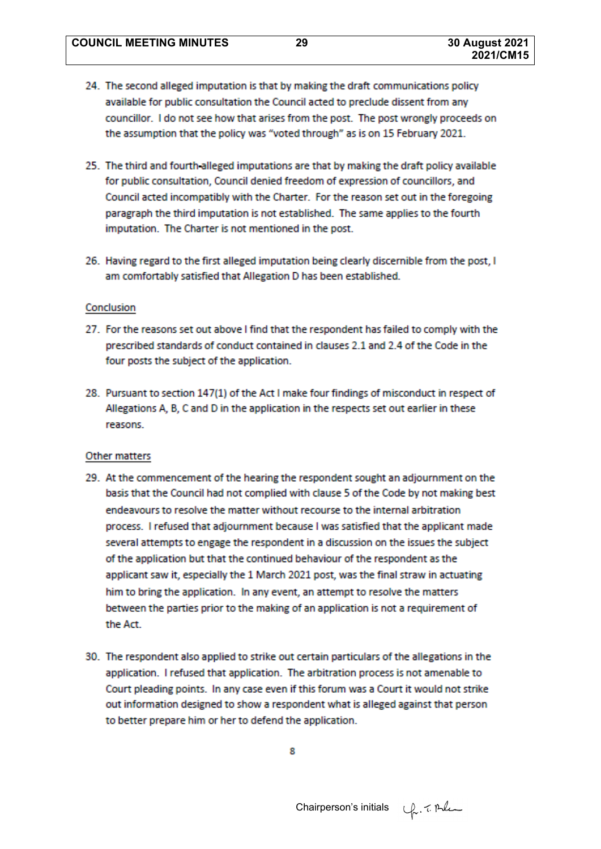- 24. The second alleged imputation is that by making the draft communications policy available for public consultation the Council acted to preclude dissent from any councillor. I do not see how that arises from the post. The post wrongly proceeds on the assumption that the policy was "voted through" as is on 15 February 2021.
- 25. The third and fourth alleged imputations are that by making the draft policy available for public consultation, Council denied freedom of expression of councillors, and Council acted incompatibly with the Charter. For the reason set out in the foregoing paragraph the third imputation is not established. The same applies to the fourth imputation. The Charter is not mentioned in the post.
- 26. Having regard to the first alleged imputation being clearly discernible from the post. I am comfortably satisfied that Allegation D has been established.

#### Conclusion

- 27. For the reasons set out above I find that the respondent has failed to comply with the prescribed standards of conduct contained in clauses 2.1 and 2.4 of the Code in the four posts the subject of the application.
- 28. Pursuant to section 147(1) of the Act I make four findings of misconduct in respect of Allegations A, B, C and D in the application in the respects set out earlier in these reasons.

#### Other matters

- 29. At the commencement of the hearing the respondent sought an adjournment on the basis that the Council had not complied with clause 5 of the Code by not making best endeavours to resolve the matter without recourse to the internal arbitration process. I refused that adjournment because I was satisfied that the applicant made several attempts to engage the respondent in a discussion on the issues the subject of the application but that the continued behaviour of the respondent as the applicant saw it, especially the 1 March 2021 post, was the final straw in actuating him to bring the application. In any event, an attempt to resolve the matters between the parties prior to the making of an application is not a requirement of the Act.
- 30. The respondent also applied to strike out certain particulars of the allegations in the application. I refused that application. The arbitration process is not amenable to Court pleading points. In any case even if this forum was a Court it would not strike out information designed to show a respondent what is alleged against that person to better prepare him or her to defend the application.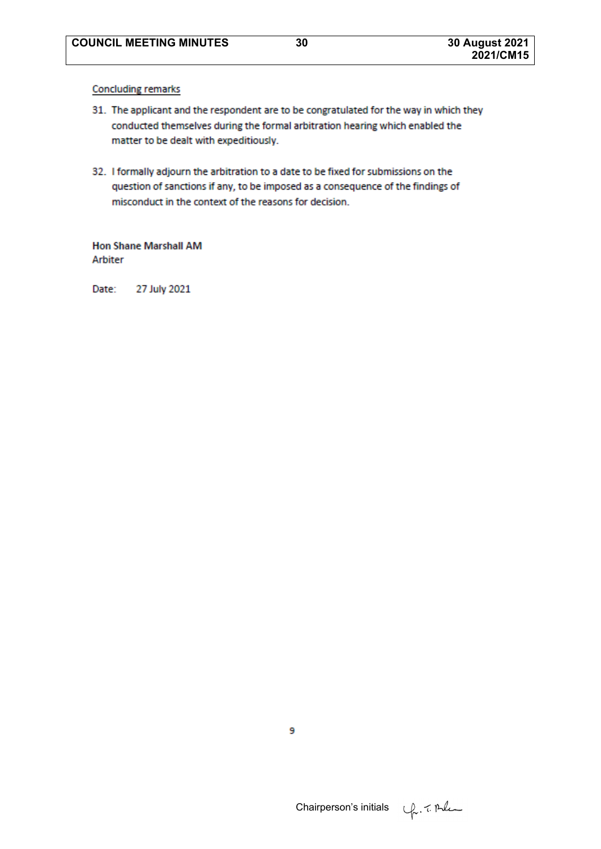**Concluding remarks** 

- 31. The applicant and the respondent are to be congratulated for the way in which they conducted themselves during the formal arbitration hearing which enabled the matter to be dealt with expeditiously.
- 32. I formally adjourn the arbitration to a date to be fixed for submissions on the question of sanctions if any, to be imposed as a consequence of the findings of misconduct in the context of the reasons for decision.

**Hon Shane Marshall AM** Arbiter

Date: 27 July 2021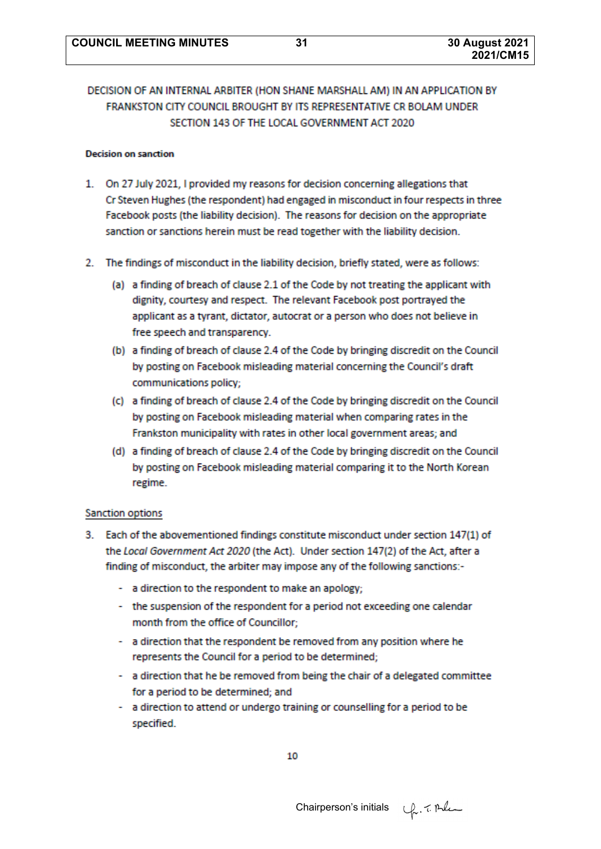# DECISION OF AN INTERNAL ARBITER (HON SHANE MARSHALL AM) IN AN APPLICATION BY FRANKSTON CITY COUNCIL BROUGHT BY ITS REPRESENTATIVE CR BOLAM UNDER SECTION 143 OF THE LOCAL GOVERNMENT ACT 2020

#### **Decision on sanction**

- 1. On 27 July 2021. I provided my reasons for decision concerning allegations that Cr Steven Hughes (the respondent) had engaged in misconduct in four respects in three Facebook posts (the liability decision). The reasons for decision on the appropriate sanction or sanctions herein must be read together with the liability decision.
- 2. The findings of misconduct in the liability decision, briefly stated, were as follows:
	- (a) a finding of breach of clause 2.1 of the Code by not treating the applicant with dignity, courtesy and respect. The relevant Facebook post portrayed the applicant as a tyrant, dictator, autocrat or a person who does not believe in free speech and transparency.
	- (b) a finding of breach of clause 2.4 of the Code by bringing discredit on the Council by posting on Facebook misleading material concerning the Council's draft communications policy;
	- (c) a finding of breach of clause 2.4 of the Code by bringing discredit on the Council by posting on Facebook misleading material when comparing rates in the Frankston municipality with rates in other local government areas; and
	- (d) a finding of breach of clause 2.4 of the Code by bringing discredit on the Council by posting on Facebook misleading material comparing it to the North Korean regime.

#### Sanction options

- 3. Each of the abovementioned findings constitute misconduct under section 147(1) of the Local Government Act 2020 (the Act). Under section 147(2) of the Act, after a finding of misconduct, the arbiter may impose any of the following sanctions:-
	- a direction to the respondent to make an apology;
	- the suspension of the respondent for a period not exceeding one calendar month from the office of Councillor;
	- a direction that the respondent be removed from any position where he represents the Council for a period to be determined;
	- a direction that he be removed from being the chair of a delegated committee for a period to be determined; and
	- a direction to attend or undergo training or counselling for a period to be specified.

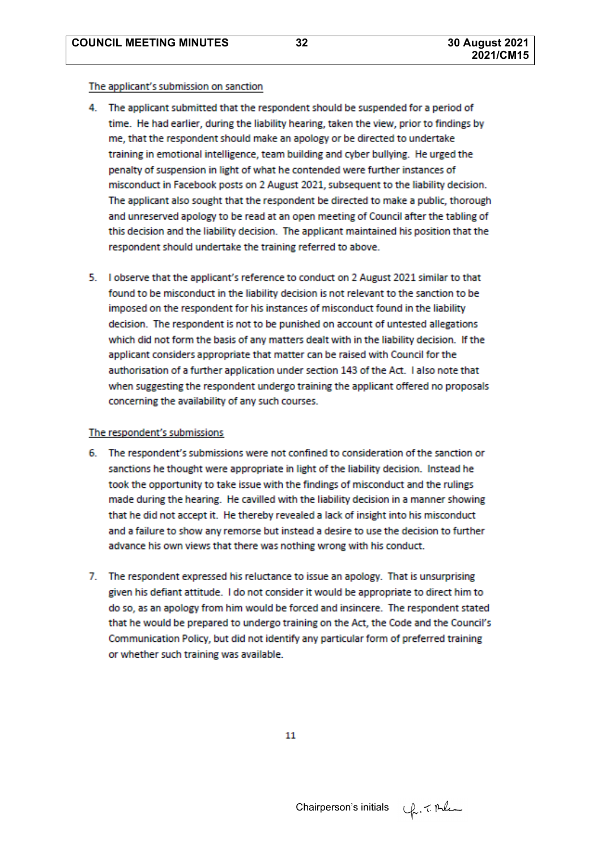#### The applicant's submission on sanction

- 4. The applicant submitted that the respondent should be suspended for a period of time. He had earlier, during the liability hearing, taken the view, prior to findings by me, that the respondent should make an apology or be directed to undertake training in emotional intelligence, team building and cyber bullying. He urged the penalty of suspension in light of what he contended were further instances of misconduct in Facebook posts on 2 August 2021, subsequent to the liability decision. The applicant also sought that the respondent be directed to make a public, thorough and unreserved apology to be read at an open meeting of Council after the tabling of this decision and the liability decision. The applicant maintained his position that the respondent should undertake the training referred to above.
- 5. I observe that the applicant's reference to conduct on 2 August 2021 similar to that found to be misconduct in the liability decision is not relevant to the sanction to be imposed on the respondent for his instances of misconduct found in the liability decision. The respondent is not to be punished on account of untested allegations which did not form the basis of any matters dealt with in the liability decision. If the applicant considers appropriate that matter can be raised with Council for the authorisation of a further application under section 143 of the Act. I also note that when suggesting the respondent undergo training the applicant offered no proposals concerning the availability of any such courses.

#### The respondent's submissions

- 6. The respondent's submissions were not confined to consideration of the sanction or sanctions he thought were appropriate in light of the liability decision. Instead he took the opportunity to take issue with the findings of misconduct and the rulings made during the hearing. He cavilled with the liability decision in a manner showing that he did not accept it. He thereby revealed a lack of insight into his misconduct and a failure to show any remorse but instead a desire to use the decision to further advance his own views that there was nothing wrong with his conduct.
- 7. The respondent expressed his reluctance to issue an apology. That is unsurprising given his defiant attitude. I do not consider it would be appropriate to direct him to do so, as an apology from him would be forced and insincere. The respondent stated that he would be prepared to undergo training on the Act, the Code and the Council's Communication Policy, but did not identify any particular form of preferred training or whether such training was available.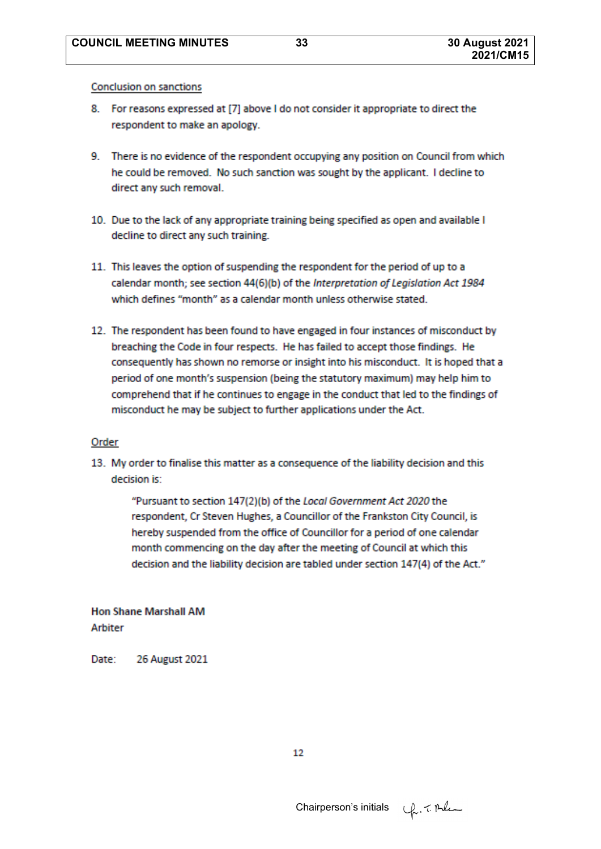Conclusion on sanctions

- 8. For reasons expressed at [7] above I do not consider it appropriate to direct the respondent to make an apology.
- 9. There is no evidence of the respondent occupying any position on Council from which he could be removed. No such sanction was sought by the applicant. I decline to direct any such removal.
- 10. Due to the lack of any appropriate training being specified as open and available I decline to direct any such training.
- 11. This leaves the option of suspending the respondent for the period of up to a calendar month: see section 44(6)(b) of the Interpretation of Legislation Act 1984 which defines "month" as a calendar month unless otherwise stated.
- 12. The respondent has been found to have engaged in four instances of misconduct by breaching the Code in four respects. He has failed to accept those findings. He consequently has shown no remorse or insight into his misconduct. It is hoped that a period of one month's suspension (being the statutory maximum) may help him to comprehend that if he continues to engage in the conduct that led to the findings of misconduct he may be subject to further applications under the Act.

#### Order

13. My order to finalise this matter as a consequence of the liability decision and this decision is:

> "Pursuant to section 147(2)(b) of the Local Government Act 2020 the respondent, Cr Steven Hughes, a Councillor of the Frankston City Council, is hereby suspended from the office of Councillor for a period of one calendar month commencing on the day after the meeting of Council at which this decision and the liability decision are tabled under section 147(4) of the Act."

**Hon Shane Marshall AM Arbiter** 

Date: **26 August 2021** 

12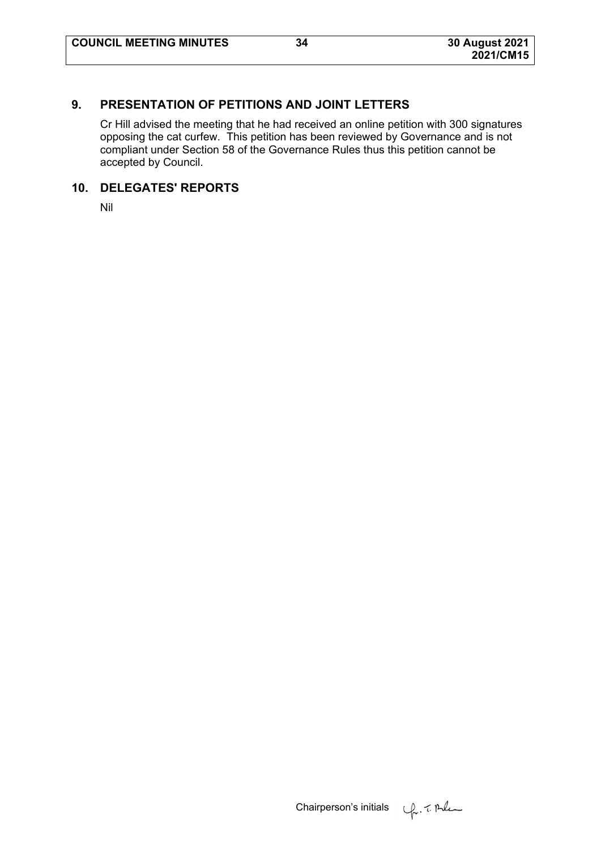# **9. PRESENTATION OF PETITIONS AND JOINT LETTERS**

Cr Hill advised the meeting that he had received an online petition with 300 signatures opposing the cat curfew. This petition has been reviewed by Governance and is not compliant under Section 58 of the Governance Rules thus this petition cannot be accepted by Council.

# **10. DELEGATES' REPORTS**

Nil

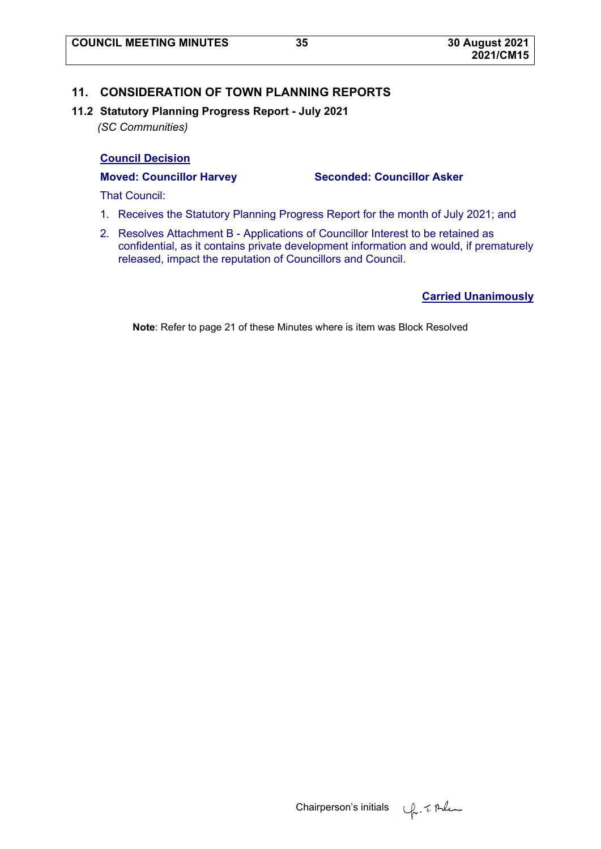# **11. CONSIDERATION OF TOWN PLANNING REPORTS**

# **11.2 Statutory Planning Progress Report - July 2021**

*(SC Communities)* 

# **Council Decision**

### **Moved: Councillor Harvey Seconded: Councillor Asker**

That Council:

- 1. Receives the Statutory Planning Progress Report for the month of July 2021; and
- 2. Resolves Attachment B Applications of Councillor Interest to be retained as confidential, as it contains private development information and would, if prematurely released, impact the reputation of Councillors and Council.

# **Carried Unanimously**

**Note**: Refer to page 21 of these Minutes where is item was Block Resolved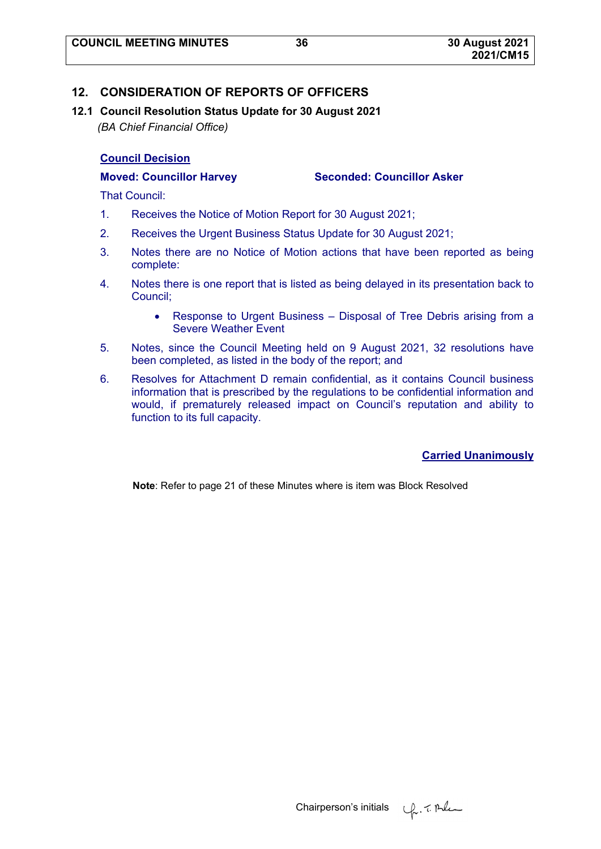# **12. CONSIDERATION OF REPORTS OF OFFICERS**

**12.1 Council Resolution Status Update for 30 August 2021**  *(BA Chief Financial Office)* 

# **Council Decision**

**Moved: Councillor Harvey Seconded: Councillor Asker** 

That Council:

- 1. Receives the Notice of Motion Report for 30 August 2021;
- 2. Receives the Urgent Business Status Update for 30 August 2021;
- 3. Notes there are no Notice of Motion actions that have been reported as being complete:
- 4. Notes there is one report that is listed as being delayed in its presentation back to Council;
	- Response to Urgent Business Disposal of Tree Debris arising from a Severe Weather Event
- 5. Notes, since the Council Meeting held on 9 August 2021, 32 resolutions have been completed, as listed in the body of the report; and
- 6. Resolves for Attachment D remain confidential, as it contains Council business information that is prescribed by the regulations to be confidential information and would, if prematurely released impact on Council's reputation and ability to function to its full capacity.

# **Carried Unanimously**

**Note**: Refer to page 21 of these Minutes where is item was Block Resolved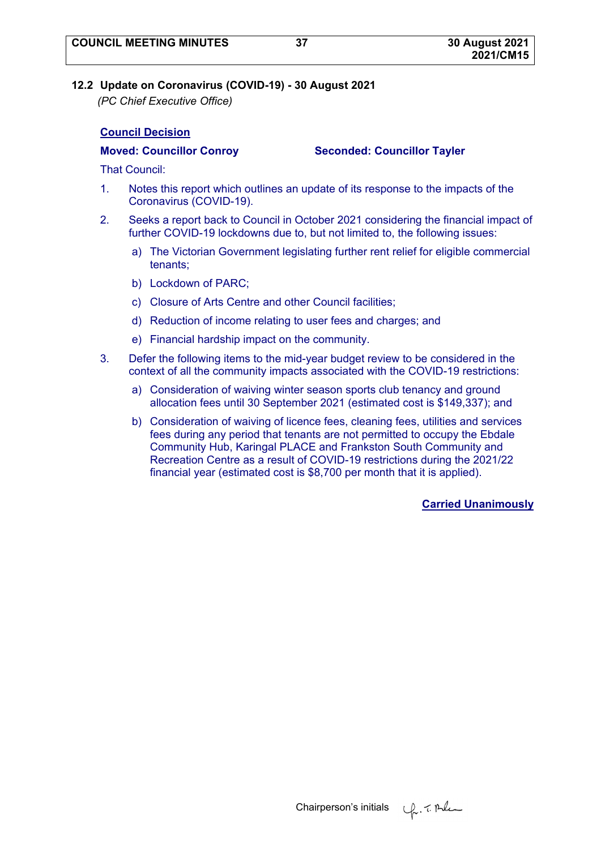# **12.2 Update on Coronavirus (COVID-19) - 30 August 2021**

*(PC Chief Executive Office)* 

# **Council Decision**

#### **Moved: Councillor Conroy Seconded: Councillor Tayler**

That Council:

- 1. Notes this report which outlines an update of its response to the impacts of the Coronavirus (COVID-19).
- 2. Seeks a report back to Council in October 2021 considering the financial impact of further COVID-19 lockdowns due to, but not limited to, the following issues:
	- a) The Victorian Government legislating further rent relief for eligible commercial tenants;
	- b) Lockdown of PARC;
	- c) Closure of Arts Centre and other Council facilities;
	- d) Reduction of income relating to user fees and charges; and
	- e) Financial hardship impact on the community.
- 3. Defer the following items to the mid-year budget review to be considered in the context of all the community impacts associated with the COVID-19 restrictions:
	- a) Consideration of waiving winter season sports club tenancy and ground allocation fees until 30 September 2021 (estimated cost is \$149,337); and
	- b) Consideration of waiving of licence fees, cleaning fees, utilities and services fees during any period that tenants are not permitted to occupy the Ebdale Community Hub, Karingal PLACE and Frankston South Community and Recreation Centre as a result of COVID-19 restrictions during the 2021/22 financial year (estimated cost is \$8,700 per month that it is applied).

**Carried Unanimously**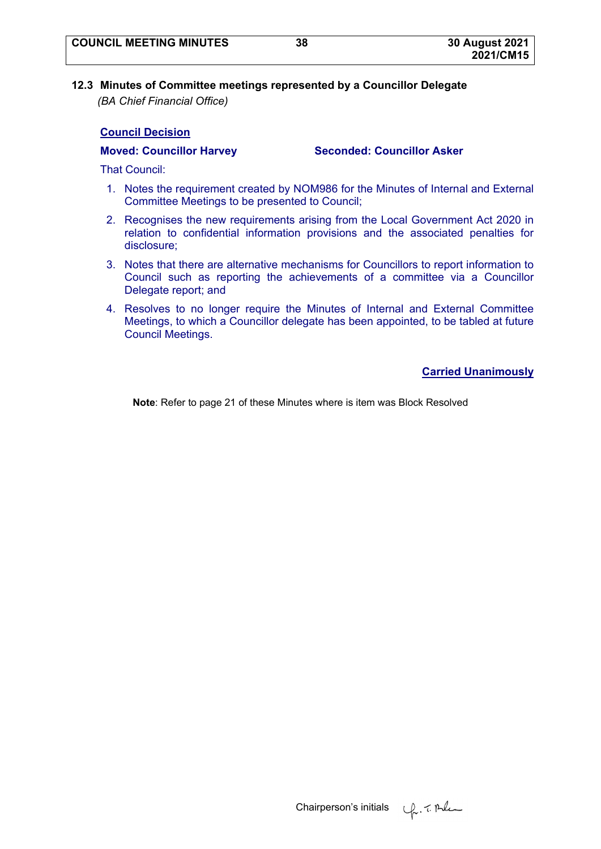# **12.3 Minutes of Committee meetings represented by a Councillor Delegate**  *(BA Chief Financial Office)*

### **Council Decision**

#### **Moved: Councillor Harvey Seconded: Councillor Asker**

That Council:

- 1. Notes the requirement created by NOM986 for the Minutes of Internal and External Committee Meetings to be presented to Council;
- 2. Recognises the new requirements arising from the Local Government Act 2020 in relation to confidential information provisions and the associated penalties for disclosure;
- 3. Notes that there are alternative mechanisms for Councillors to report information to Council such as reporting the achievements of a committee via a Councillor Delegate report; and
- 4. Resolves to no longer require the Minutes of Internal and External Committee Meetings, to which a Councillor delegate has been appointed, to be tabled at future Council Meetings.

**Carried Unanimously**

**Note**: Refer to page 21 of these Minutes where is item was Block Resolved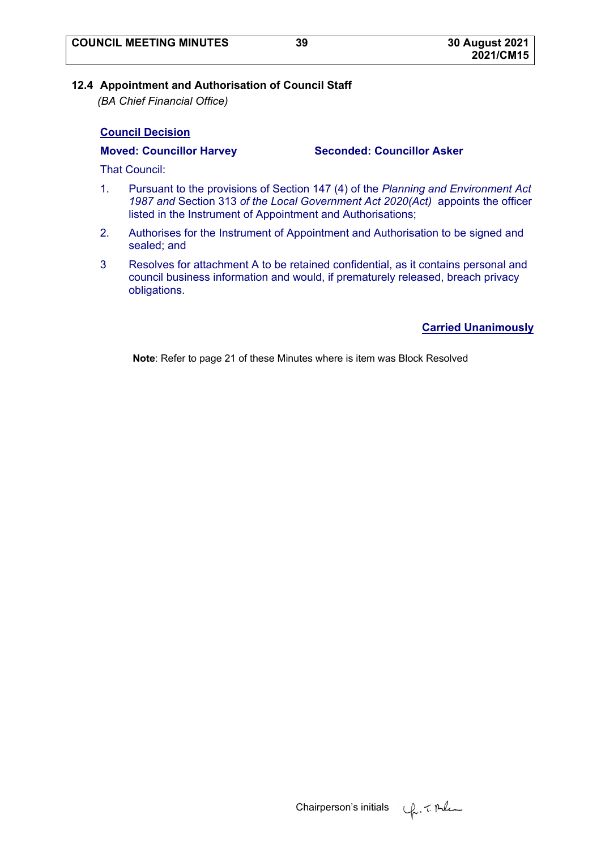# **12.4 Appointment and Authorisation of Council Staff**

*(BA Chief Financial Office)* 

# **Council Decision**

### **Moved: Councillor Harvey Seconded: Councillor Asker**

That Council:

- 1. Pursuant to the provisions of Section 147 (4) of the *Planning and Environment Act 1987 and* Section 313 *of the Local Government Act 2020(Act)* appoints the officer listed in the Instrument of Appointment and Authorisations;
- 2. Authorises for the Instrument of Appointment and Authorisation to be signed and sealed; and
- 3 Resolves for attachment A to be retained confidential, as it contains personal and council business information and would, if prematurely released, breach privacy obligations.

**Carried Unanimously**

**Note**: Refer to page 21 of these Minutes where is item was Block Resolved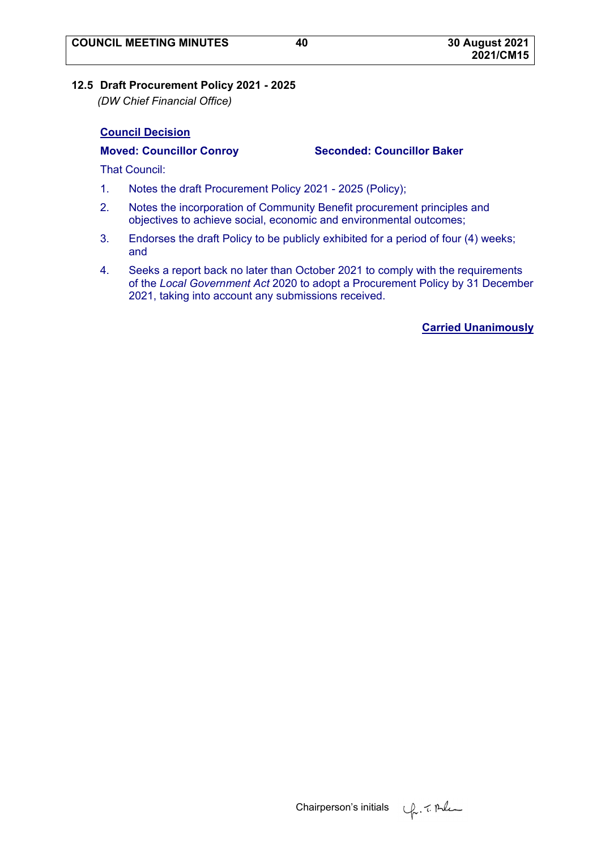# **12.5 Draft Procurement Policy 2021 - 2025**

*(DW Chief Financial Office)* 

# **Council Decision**

### **Moved: Councillor Conroy Seconded: Councillor Baker**

That Council:

- 1. Notes the draft Procurement Policy 2021 2025 (Policy);
- 2. Notes the incorporation of Community Benefit procurement principles and objectives to achieve social, economic and environmental outcomes;
- 3. Endorses the draft Policy to be publicly exhibited for a period of four (4) weeks; and
- 4. Seeks a report back no later than October 2021 to comply with the requirements of the *Local Government Act* 2020 to adopt a Procurement Policy by 31 December 2021, taking into account any submissions received.

# **Carried Unanimously**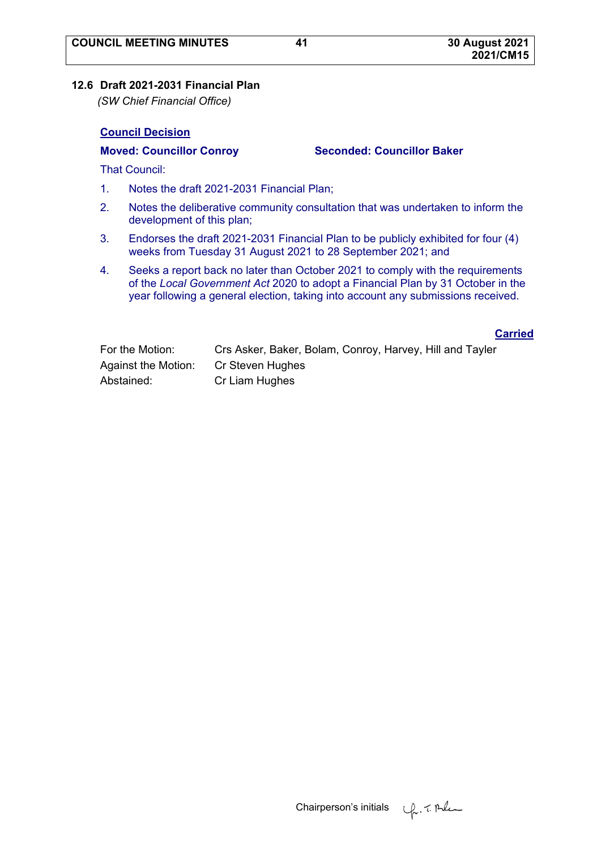### **12.6 Draft 2021-2031 Financial Plan**

*(SW Chief Financial Office)* 

#### **Council Decision**

#### **Moved: Councillor Conroy Seconded: Councillor Baker**

That Council:

- 1. Notes the draft 2021-2031 Financial Plan;
- 2. Notes the deliberative community consultation that was undertaken to inform the development of this plan;
- 3. Endorses the draft 2021-2031 Financial Plan to be publicly exhibited for four (4) weeks from Tuesday 31 August 2021 to 28 September 2021; and
- 4. Seeks a report back no later than October 2021 to comply with the requirements of the *Local Government Act* 2020 to adopt a Financial Plan by 31 October in the year following a general election, taking into account any submissions received.

**Carried**

| For the Motion:     | Crs Asker, Baker, Bolam, Conroy, Harvey, Hill and Tayler |
|---------------------|----------------------------------------------------------|
| Against the Motion: | Cr Steven Hughes                                         |
| Abstained:          | Cr Liam Hughes                                           |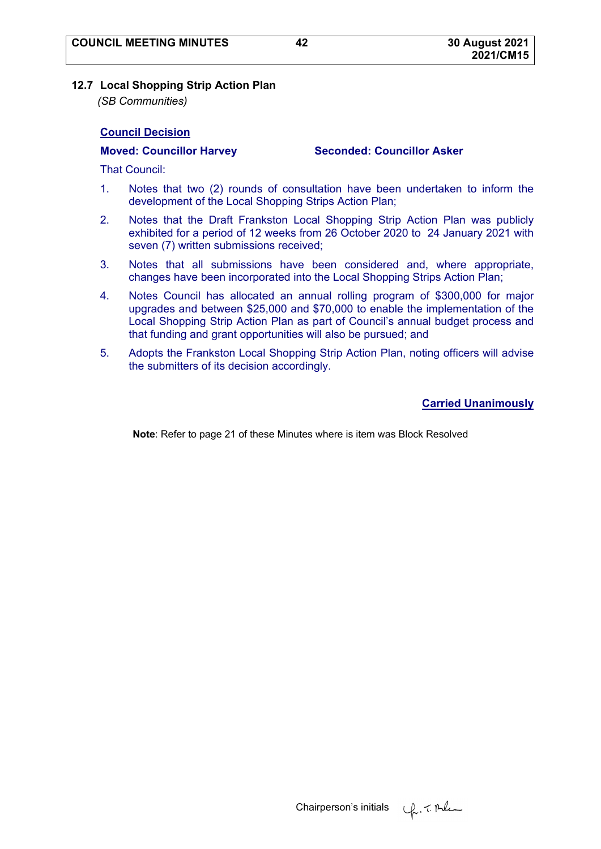#### **12.7 Local Shopping Strip Action Plan**

*(SB Communities)* 

### **Council Decision**

#### **Moved: Councillor Harvey Seconded: Councillor Asker**

That Council:

- 1. Notes that two (2) rounds of consultation have been undertaken to inform the development of the Local Shopping Strips Action Plan;
- 2. Notes that the Draft Frankston Local Shopping Strip Action Plan was publicly exhibited for a period of 12 weeks from 26 October 2020 to 24 January 2021 with seven (7) written submissions received;
- 3. Notes that all submissions have been considered and, where appropriate, changes have been incorporated into the Local Shopping Strips Action Plan;
- 4. Notes Council has allocated an annual rolling program of \$300,000 for major upgrades and between \$25,000 and \$70,000 to enable the implementation of the Local Shopping Strip Action Plan as part of Council's annual budget process and that funding and grant opportunities will also be pursued; and
- 5. Adopts the Frankston Local Shopping Strip Action Plan, noting officers will advise the submitters of its decision accordingly.

**Carried Unanimously**

**Note**: Refer to page 21 of these Minutes where is item was Block Resolved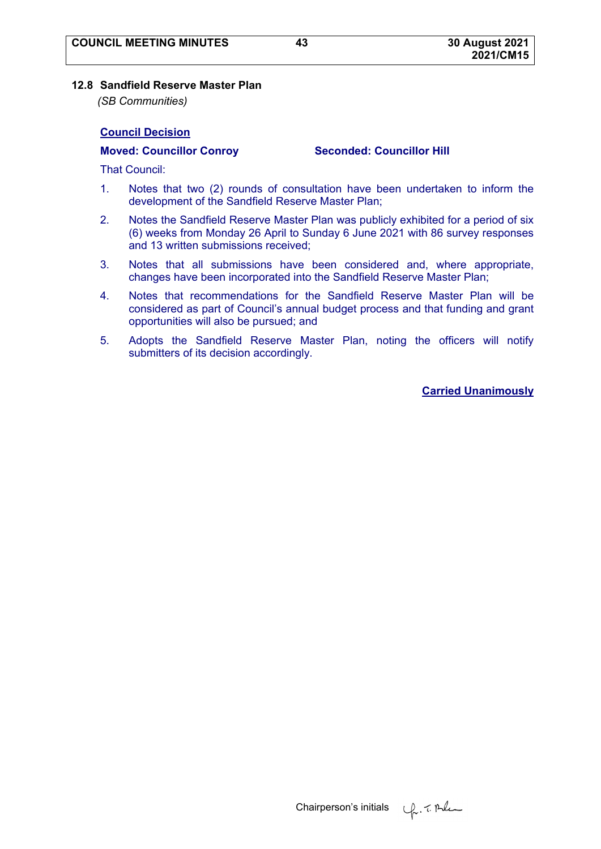#### **12.8 Sandfield Reserve Master Plan**

*(SB Communities)* 

#### **Council Decision**

**Moved: Councillor Conroy Seconded: Councillor Hill** 

That Council:

- 1. Notes that two (2) rounds of consultation have been undertaken to inform the development of the Sandfield Reserve Master Plan;
- 2. Notes the Sandfield Reserve Master Plan was publicly exhibited for a period of six (6) weeks from Monday 26 April to Sunday 6 June 2021 with 86 survey responses and 13 written submissions received;
- 3. Notes that all submissions have been considered and, where appropriate, changes have been incorporated into the Sandfield Reserve Master Plan;
- 4. Notes that recommendations for the Sandfield Reserve Master Plan will be considered as part of Council's annual budget process and that funding and grant opportunities will also be pursued; and
- 5. Adopts the Sandfield Reserve Master Plan, noting the officers will notify submitters of its decision accordingly.

**Carried Unanimously**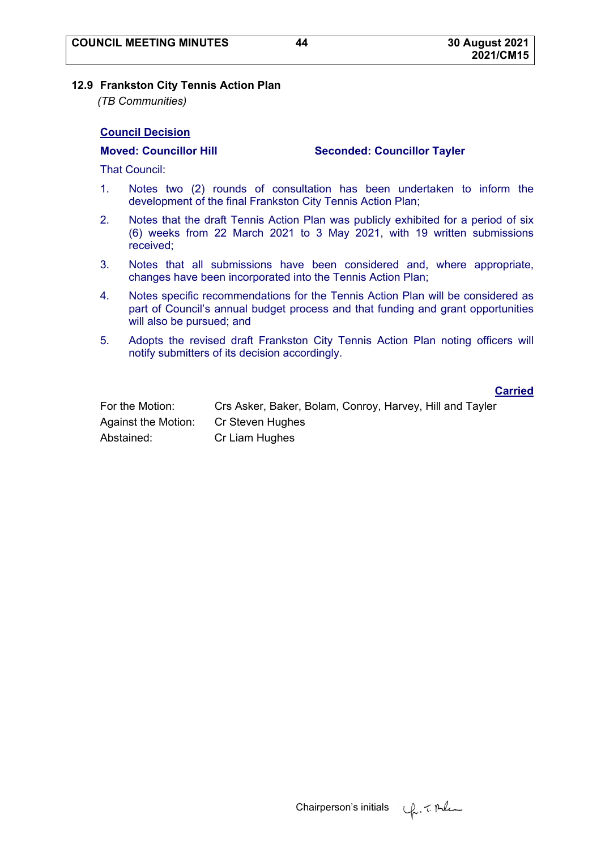#### **12.9 Frankston City Tennis Action Plan**

*(TB Communities)* 

### **Council Decision**

#### **Moved: Councillor Hill Seconded: Councillor Tayler**

That Council:

- 1. Notes two (2) rounds of consultation has been undertaken to inform the development of the final Frankston City Tennis Action Plan;
- 2. Notes that the draft Tennis Action Plan was publicly exhibited for a period of six (6) weeks from 22 March 2021 to 3 May 2021, with 19 written submissions received;
- 3. Notes that all submissions have been considered and, where appropriate, changes have been incorporated into the Tennis Action Plan;
- 4. Notes specific recommendations for the Tennis Action Plan will be considered as part of Council's annual budget process and that funding and grant opportunities will also be pursued; and
- 5. Adopts the revised draft Frankston City Tennis Action Plan noting officers will notify submitters of its decision accordingly.

#### **Carried**

| For the Motion:     | Crs Asker, Baker, Bolam, Conroy, Harvey, Hill and Tayler |
|---------------------|----------------------------------------------------------|
| Against the Motion: | Cr Steven Hughes                                         |
| Abstained:          | Cr Liam Hughes                                           |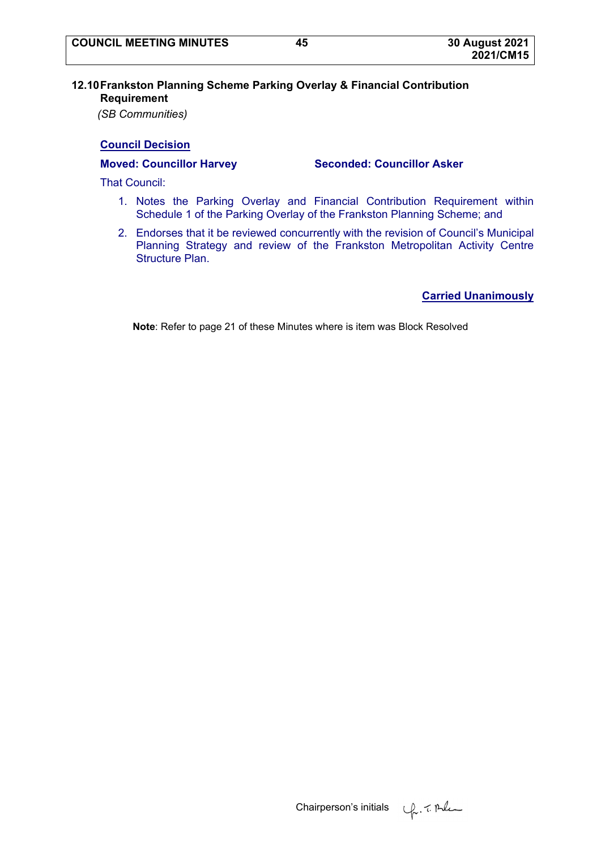# **12.10 Frankston Planning Scheme Parking Overlay & Financial Contribution Requirement**

*(SB Communities)* 

# **Council Decision**

That Council:

- 1. Notes the Parking Overlay and Financial Contribution Requirement within Schedule 1 of the Parking Overlay of the Frankston Planning Scheme; and
- 2. Endorses that it be reviewed concurrently with the revision of Council's Municipal Planning Strategy and review of the Frankston Metropolitan Activity Centre Structure Plan.

**Carried Unanimously**

**Note**: Refer to page 21 of these Minutes where is item was Block Resolved

**Moved: Councillor Harvey Seconded: Councillor Asker**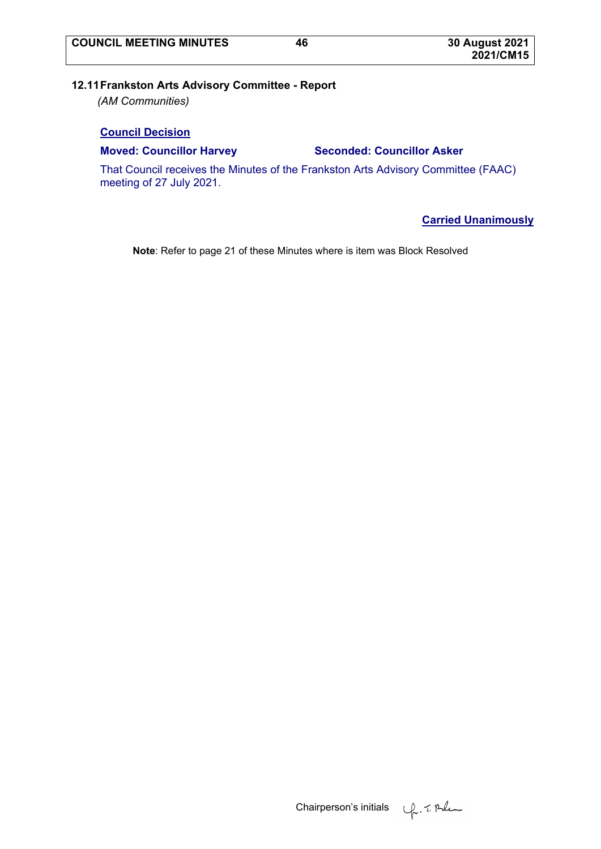# **12.11 Frankston Arts Advisory Committee - Report**

*(AM Communities)* 

### **Council Decision**

#### **Moved: Councillor Harvey Seconded: Councillor Asker**

That Council receives the Minutes of the Frankston Arts Advisory Committee (FAAC) meeting of 27 July 2021.

**Carried Unanimously**

**Note**: Refer to page 21 of these Minutes where is item was Block Resolved

Chairperson's initials  $\psi$ , 7. Alem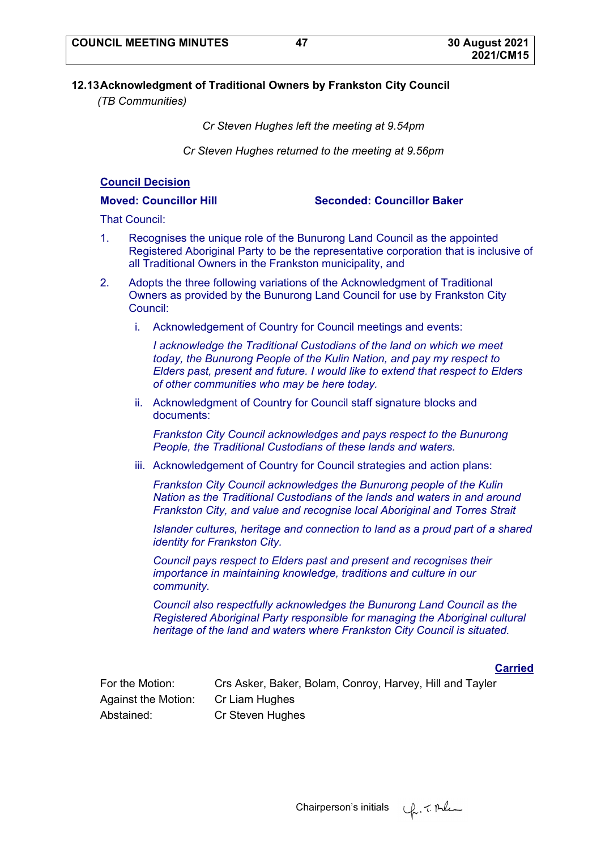# **12.13 Acknowledgment of Traditional Owners by Frankston City Council**

*(TB Communities)* 

*Cr Steven Hughes left the meeting at 9.54pm* 

*Cr Steven Hughes returned to the meeting at 9.56pm* 

# **Council Decision**

**Moved: Councillor Hill Seconded: Councillor Baker** 

That Council:

- 1. Recognises the unique role of the Bunurong Land Council as the appointed Registered Aboriginal Party to be the representative corporation that is inclusive of all Traditional Owners in the Frankston municipality, and
- 2. Adopts the three following variations of the Acknowledgment of Traditional Owners as provided by the Bunurong Land Council for use by Frankston City Council:
	- i. Acknowledgement of Country for Council meetings and events:

*I acknowledge the Traditional Custodians of the land on which we meet today, the Bunurong People of the Kulin Nation, and pay my respect to Elders past, present and future. I would like to extend that respect to Elders of other communities who may be here today.* 

ii. Acknowledgment of Country for Council staff signature blocks and documents:

*Frankston City Council acknowledges and pays respect to the Bunurong People, the Traditional Custodians of these lands and waters.* 

iii. Acknowledgement of Country for Council strategies and action plans:

*Frankston City Council acknowledges the Bunurong people of the Kulin Nation as the Traditional Custodians of the lands and waters in and around Frankston City, and value and recognise local Aboriginal and Torres Strait* 

*Islander cultures, heritage and connection to land as a proud part of a shared identity for Frankston City.* 

*Council pays respect to Elders past and present and recognises their importance in maintaining knowledge, traditions and culture in our community.* 

*Council also respectfully acknowledges the Bunurong Land Council as the Registered Aboriginal Party responsible for managing the Aboriginal cultural heritage of the land and waters where Frankston City Council is situated.* 

# **Carried**

| For the Motion:     | Crs Asker, Baker, Bolam, Conroy, Harvey, Hill and Tayler |
|---------------------|----------------------------------------------------------|
| Against the Motion: | Cr Liam Hughes                                           |
| Abstained:          | Cr Steven Hughes                                         |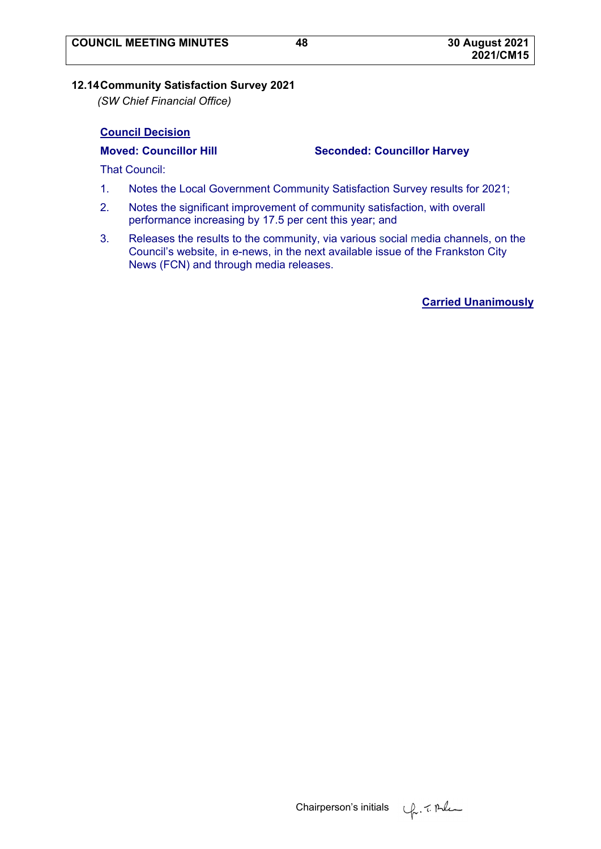# **12.14 Community Satisfaction Survey 2021**

*(SW Chief Financial Office)* 

# **Council Decision**

### **Moved: Councillor Hill Seconded: Councillor Harvey**

That Council:

- 1. Notes the Local Government Community Satisfaction Survey results for 2021;
- 2. Notes the significant improvement of community satisfaction, with overall performance increasing by 17.5 per cent this year; and
- 3. Releases the results to the community, via various social media channels, on the Council's website, in e-news, in the next available issue of the Frankston City News (FCN) and through media releases.

**Carried Unanimously**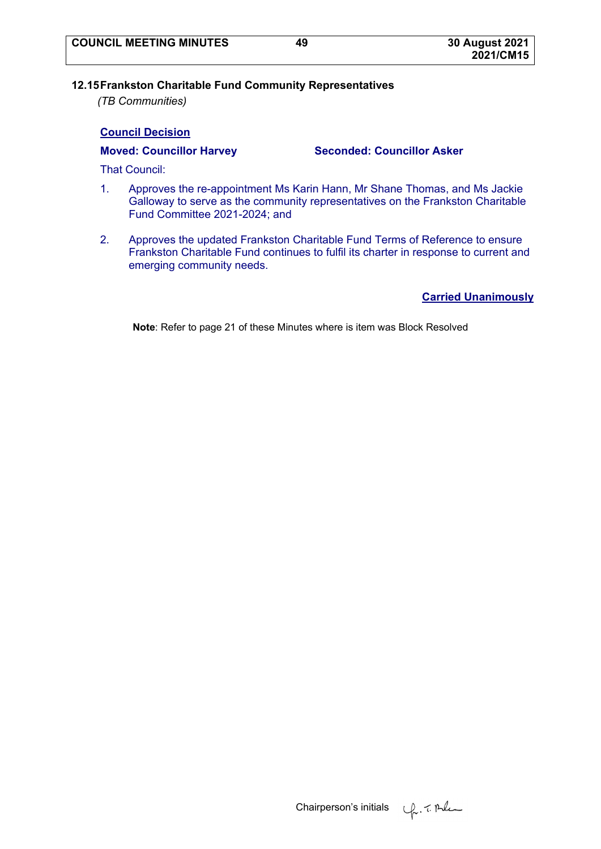# **12.15 Frankston Charitable Fund Community Representatives**

*(TB Communities)* 

# **Council Decision**

**Moved: Councillor Harvey Seconded: Councillor Asker** 

That Council:

- 1. Approves the re-appointment Ms Karin Hann, Mr Shane Thomas, and Ms Jackie Galloway to serve as the community representatives on the Frankston Charitable Fund Committee 2021-2024; and
- 2. Approves the updated Frankston Charitable Fund Terms of Reference to ensure Frankston Charitable Fund continues to fulfil its charter in response to current and emerging community needs.

**Carried Unanimously**

**Note**: Refer to page 21 of these Minutes where is item was Block Resolved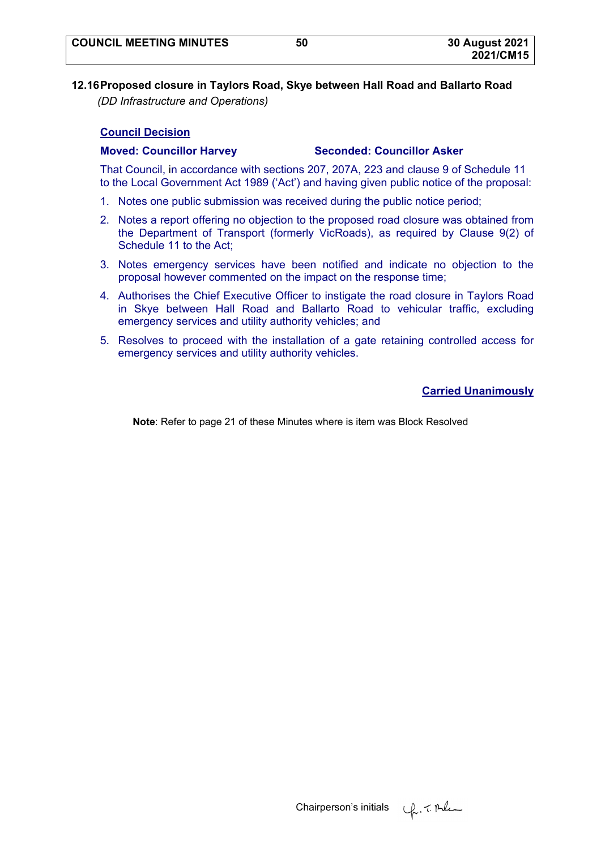# **12.16 Proposed closure in Taylors Road, Skye between Hall Road and Ballarto Road**  *(DD Infrastructure and Operations)*

# **Council Decision**

# **Moved: Councillor Harvey Seconded: Councillor Asker**

That Council, in accordance with sections 207, 207A, 223 and clause 9 of Schedule 11 to the Local Government Act 1989 ('Act') and having given public notice of the proposal:

- 1. Notes one public submission was received during the public notice period;
- 2. Notes a report offering no objection to the proposed road closure was obtained from the Department of Transport (formerly VicRoads), as required by Clause 9(2) of Schedule 11 to the Act;
- 3. Notes emergency services have been notified and indicate no objection to the proposal however commented on the impact on the response time;
- 4. Authorises the Chief Executive Officer to instigate the road closure in Taylors Road in Skye between Hall Road and Ballarto Road to vehicular traffic, excluding emergency services and utility authority vehicles; and
- 5. Resolves to proceed with the installation of a gate retaining controlled access for emergency services and utility authority vehicles.

# **Carried Unanimously**

**Note**: Refer to page 21 of these Minutes where is item was Block Resolved

Chairperson's initials  $\varphi$ . The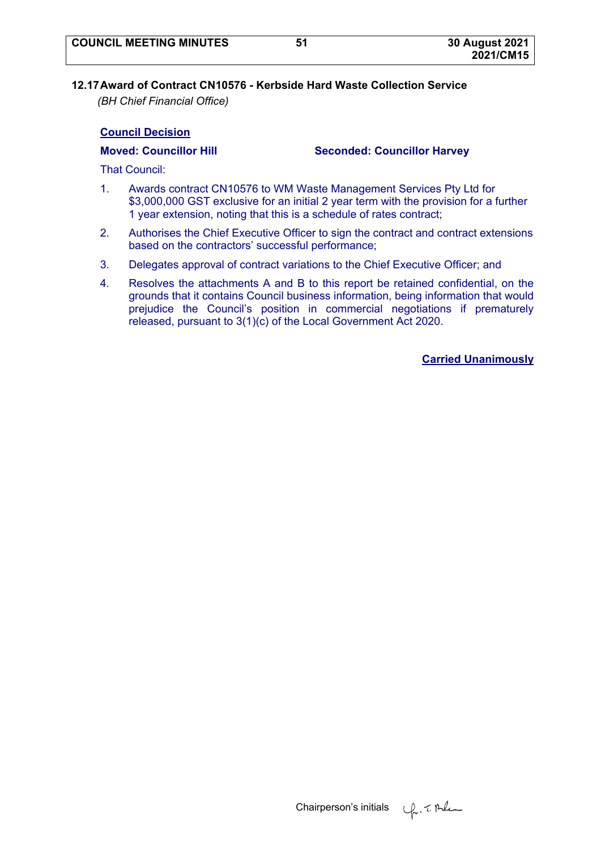# **12.17 Award of Contract CN10576 - Kerbside Hard Waste Collection Service**

*(BH Chief Financial Office)* 

# **Council Decision**

**Moved: Councillor Hill Seconded: Councillor Harvey** 

That Council:

- 1. Awards contract CN10576 to WM Waste Management Services Pty Ltd for \$3,000,000 GST exclusive for an initial 2 year term with the provision for a further 1 year extension, noting that this is a schedule of rates contract;
- 2. Authorises the Chief Executive Officer to sign the contract and contract extensions based on the contractors' successful performance;
- 3. Delegates approval of contract variations to the Chief Executive Officer; and
- 4. Resolves the attachments A and B to this report be retained confidential, on the grounds that it contains Council business information, being information that would prejudice the Council's position in commercial negotiations if prematurely released, pursuant to 3(1)(c) of the Local Government Act 2020.

**Carried Unanimously**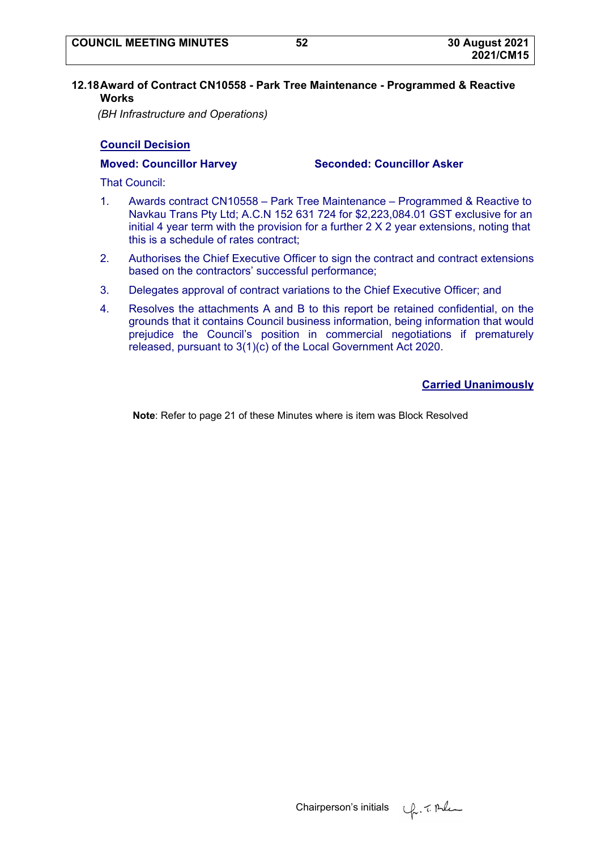#### **12.18 Award of Contract CN10558 - Park Tree Maintenance - Programmed & Reactive Works**

*(BH Infrastructure and Operations)* 

# **Council Decision**

**Moved: Councillor Harvey Seconded: Councillor Asker** 

That Council:

- 1. Awards contract CN10558 Park Tree Maintenance Programmed & Reactive to Navkau Trans Pty Ltd; A.C.N 152 631 724 for \$2,223,084.01 GST exclusive for an initial 4 year term with the provision for a further  $2 \times 2$  year extensions, noting that this is a schedule of rates contract;
- 2. Authorises the Chief Executive Officer to sign the contract and contract extensions based on the contractors' successful performance;
- 3. Delegates approval of contract variations to the Chief Executive Officer; and
- 4. Resolves the attachments A and B to this report be retained confidential, on the grounds that it contains Council business information, being information that would prejudice the Council's position in commercial negotiations if prematurely released, pursuant to 3(1)(c) of the Local Government Act 2020.

# **Carried Unanimously**

**Note**: Refer to page 21 of these Minutes where is item was Block Resolved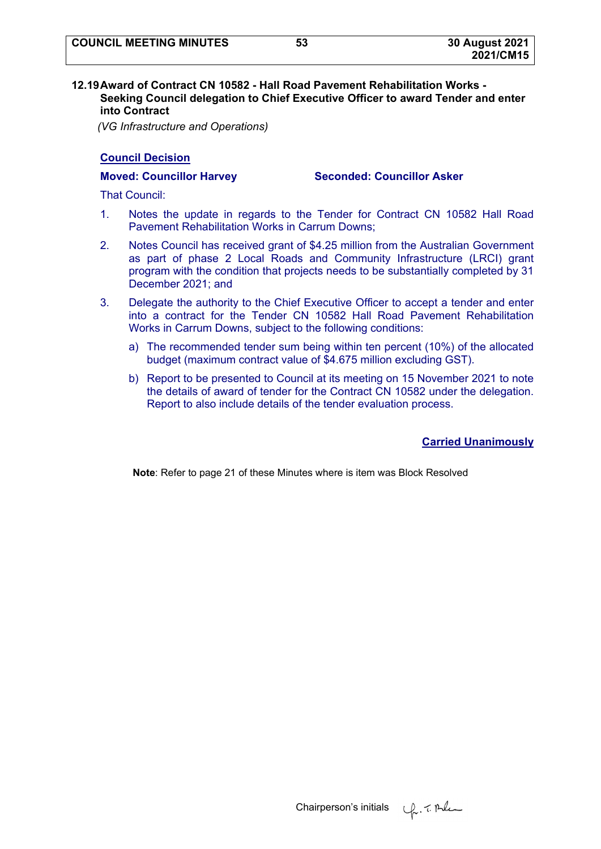#### **12.19 Award of Contract CN 10582 - Hall Road Pavement Rehabilitation Works - Seeking Council delegation to Chief Executive Officer to award Tender and enter into Contract**

*(VG Infrastructure and Operations)* 

### **Council Decision**

**Moved: Councillor Harvey Seconded: Councillor Asker** 

That Council:

- 1. Notes the update in regards to the Tender for Contract CN 10582 Hall Road Pavement Rehabilitation Works in Carrum Downs;
- 2. Notes Council has received grant of \$4.25 million from the Australian Government as part of phase 2 Local Roads and Community Infrastructure (LRCI) grant program with the condition that projects needs to be substantially completed by 31 December 2021; and
- 3. Delegate the authority to the Chief Executive Officer to accept a tender and enter into a contract for the Tender CN 10582 Hall Road Pavement Rehabilitation Works in Carrum Downs, subject to the following conditions:
	- a) The recommended tender sum being within ten percent (10%) of the allocated budget (maximum contract value of \$4.675 million excluding GST).
	- b) Report to be presented to Council at its meeting on 15 November 2021 to note the details of award of tender for the Contract CN 10582 under the delegation. Report to also include details of the tender evaluation process.

**Carried Unanimously**

**Note**: Refer to page 21 of these Minutes where is item was Block Resolved

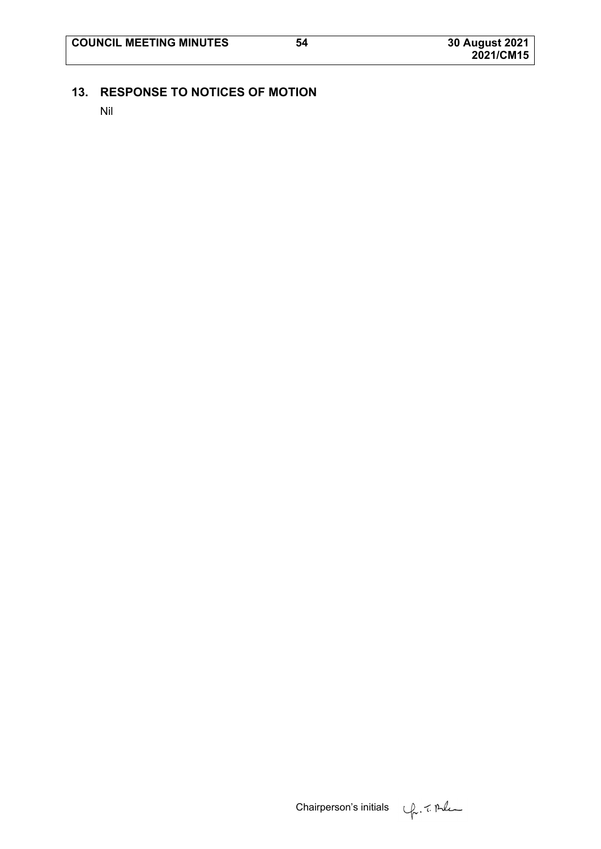# **13. RESPONSE TO NOTICES OF MOTION**

Nil

Chairperson's initials  $\psi$ . 7. Ale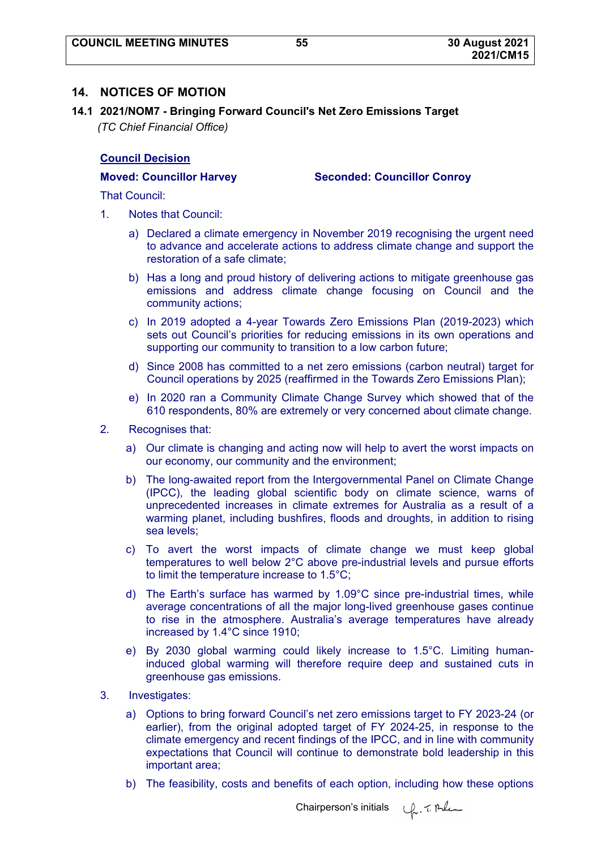# **14. NOTICES OF MOTION**

**14.1 2021/NOM7 - Bringing Forward Council's Net Zero Emissions Target**  *(TC Chief Financial Office)* 

#### **Council Decision**

**Moved: Councillor Harvey Seconded: Councillor Conroy** 

That Council:

- 1. Notes that Council:
	- a) Declared a climate emergency in November 2019 recognising the urgent need to advance and accelerate actions to address climate change and support the restoration of a safe climate;
	- b) Has a long and proud history of delivering actions to mitigate greenhouse gas emissions and address climate change focusing on Council and the community actions;
	- c) In 2019 adopted a 4-year Towards Zero Emissions Plan (2019-2023) which sets out Council's priorities for reducing emissions in its own operations and supporting our community to transition to a low carbon future;
	- d) Since 2008 has committed to a net zero emissions (carbon neutral) target for Council operations by 2025 (reaffirmed in the Towards Zero Emissions Plan);
	- e) In 2020 ran a Community Climate Change Survey which showed that of the 610 respondents, 80% are extremely or very concerned about climate change.
- 2. Recognises that:
	- a) Our climate is changing and acting now will help to avert the worst impacts on our economy, our community and the environment;
	- b) The long-awaited report from the Intergovernmental Panel on Climate Change (IPCC), the leading global scientific body on climate science, warns of unprecedented increases in climate extremes for Australia as a result of a warming planet, including bushfires, floods and droughts, in addition to rising sea levels;
	- c) To avert the worst impacts of climate change we must keep global temperatures to well below 2°C above pre-industrial levels and pursue efforts to limit the temperature increase to 1.5°C;
	- d) The Earth's surface has warmed by 1.09°C since pre-industrial times, while average concentrations of all the major long-lived greenhouse gases continue to rise in the atmosphere. Australia's average temperatures have already increased by 1.4°C since 1910;
	- e) By 2030 global warming could likely increase to 1.5°C. Limiting humaninduced global warming will therefore require deep and sustained cuts in greenhouse gas emissions.
- 3. Investigates:
	- a) Options to bring forward Council's net zero emissions target to FY 2023-24 (or earlier), from the original adopted target of FY 2024-25, in response to the climate emergency and recent findings of the IPCC, and in line with community expectations that Council will continue to demonstrate bold leadership in this important area;
	- b) The feasibility, costs and benefits of each option, including how these options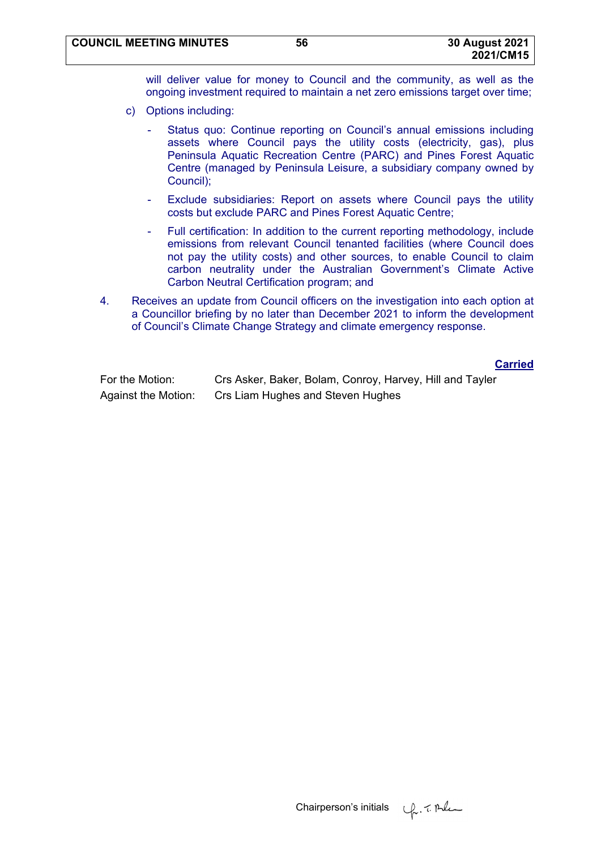will deliver value for money to Council and the community, as well as the ongoing investment required to maintain a net zero emissions target over time;

- c) Options including:
	- Status quo: Continue reporting on Council's annual emissions including assets where Council pays the utility costs (electricity, gas), plus Peninsula Aquatic Recreation Centre (PARC) and Pines Forest Aquatic Centre (managed by Peninsula Leisure, a subsidiary company owned by Council);
	- Exclude subsidiaries: Report on assets where Council pays the utility costs but exclude PARC and Pines Forest Aquatic Centre;
	- Full certification: In addition to the current reporting methodology, include emissions from relevant Council tenanted facilities (where Council does not pay the utility costs) and other sources, to enable Council to claim carbon neutrality under the Australian Government's Climate Active Carbon Neutral Certification program; and
- 4. Receives an update from Council officers on the investigation into each option at a Councillor briefing by no later than December 2021 to inform the development of Council's Climate Change Strategy and climate emergency response.

**Carried**

| For the Motion:     | Crs Asker, Baker, Bolam, Conroy, Harvey, Hill and Tayler |
|---------------------|----------------------------------------------------------|
| Against the Motion: | Crs Liam Hughes and Steven Hughes                        |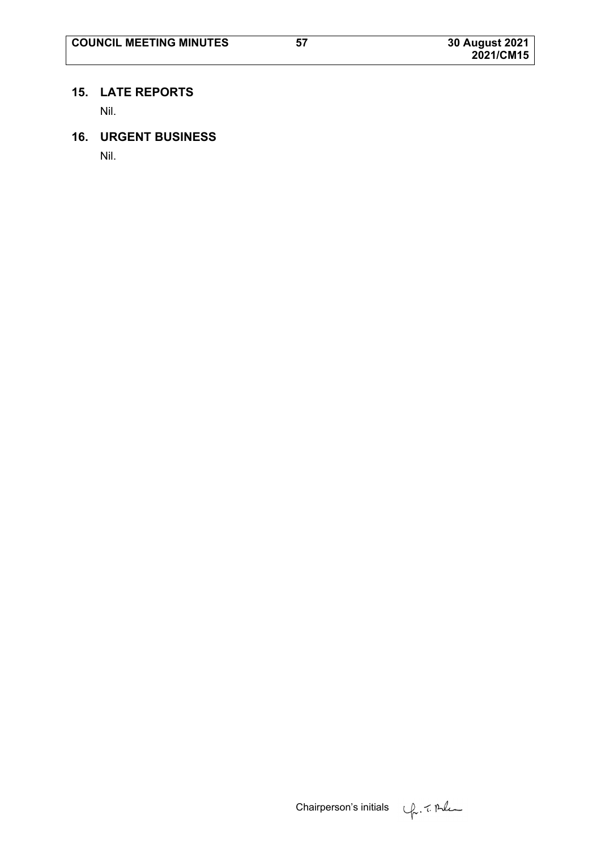# **15. LATE REPORTS**

Nil.

# **16. URGENT BUSINESS**

Nil.

Chairperson's initials  $\psi$ . 7. Ale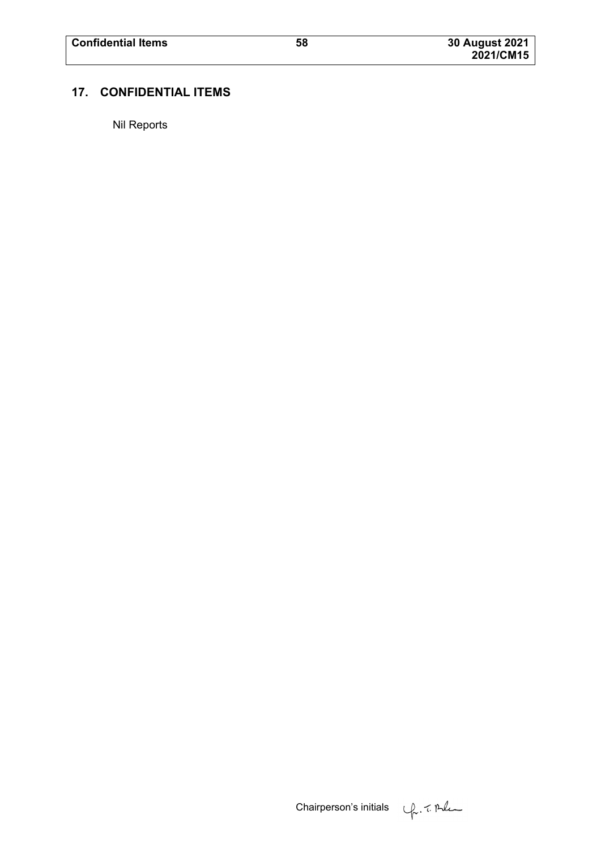# **17. CONFIDENTIAL ITEMS**

Nil Reports

Chairperson's initials

\n\n
$$
\sqrt{2} \cdot \sqrt{2} \cdot \sqrt{2}
$$
\n